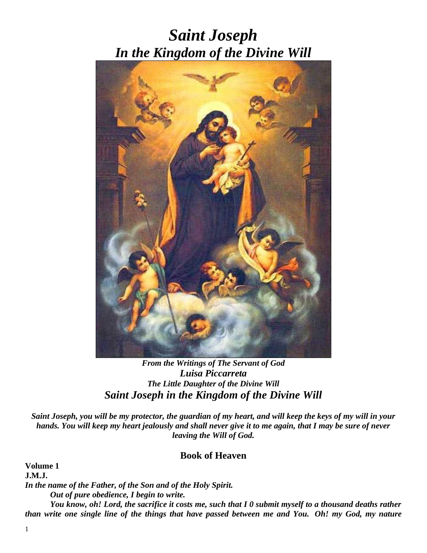# *Saint Joseph In the Kingdom of the Divine Will*



*From the Writings of The Servant of God Luisa Piccarreta The Little Daughter of the Divine Will Saint Joseph in the Kingdom of the Divine Will*

*Saint Joseph, you will be my protector, the guardian of my heart, and will keep the keys of my will in your hands. You will keep my heart jealously and shall never give it to me again, that I may be sure of never leaving the Will of God.*

# **Book of Heaven**

**Volume 1 J.M.J.** *In the name of the Father, of the Son and of the Holy Spirit. Out of pure obedience, I begin to write. You know, oh! Lord, the sacrifice it costs me, such that I 0 submit myself to a thousand deaths rather than write one single line of the things that have passed between me and You. Oh! my God, my nature*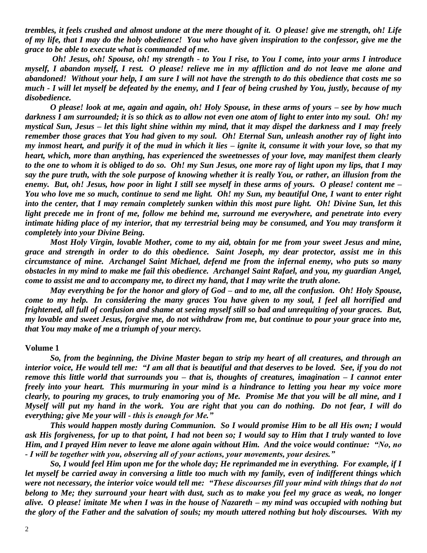*trembles, it feels crushed and almost undone at the mere thought of it. O please! give me strength, oh! Life of my life, that I may do the holy obedience! You who have given inspiration to the confessor, give me the grace to be able to execute what is commanded of me.*

*Oh! Jesus, oh! Spouse, oh! my strength - to You I rise, to You I come, into your arms I introduce myself, I abandon myself, I rest. O please! relieve me in my affliction and do not leave me alone and abandoned! Without your help, I am sure I will not have the strength to do this obedience that costs me so much - I will let myself be defeated by the enemy, and I fear of being crushed by You, justly, because of my disobedience.*

*O please! look at me, again and again, oh! Holy Spouse, in these arms of yours – see by how much darkness I am surrounded; it is so thick as to allow not even one atom of light to enter into my soul. Oh! my mystical Sun, Jesus – let this light shine within my mind, that it may dispel the darkness and I may freely remember those graces that You had given to my soul. Oh! Eternal Sun, unleash another ray of light into my inmost heart, and purify it of the mud in which it lies – ignite it, consume it with your love, so that my heart, which, more than anything, has experienced the sweetnesses of your love, may manifest them clearly to the one to whom it is obliged to do so. Oh! my Sun Jesus, one more ray of light upon my lips, that I may say the pure truth, with the sole purpose of knowing whether it is really You, or rather, an illusion from the enemy. But, oh! Jesus, how poor in light I still see myself in these arms of yours. O please! content me – You who love me so much, continue to send me light. Oh! my Sun, my beautiful One, I want to enter right into the center, that I may remain completely sunken within this most pure light. Oh! Divine Sun, let this light precede me in front of me, follow me behind me, surround me everywhere, and penetrate into every intimate hiding place of my interior, that my terrestrial being may be consumed, and You may transform it completely into your Divine Being.*

*Most Holy Virgin, lovable Mother, come to my aid, obtain for me from your sweet Jesus and mine, grace and strength in order to do this obedience. Saint Joseph, my dear protector, assist me in this circumstance of mine. Archangel Saint Michael, defend me from the infernal enemy, who puts so many obstacles in my mind to make me fail this obedience. Archangel Saint Rafael, and you, my guardian Angel, come to assist me and to accompany me, to direct my hand, that I may write the truth alone.*

*May everything be for the honor and glory of God – and to me, all the confusion. Oh! Holy Spouse, come to my help. In considering the many graces You have given to my soul, I feel all horrified and frightened, all full of confusion and shame at seeing myself still so bad and unrequiting of your graces. But, my lovable and sweet Jesus, forgive me, do not withdraw from me, but continue to pour your grace into me, that You may make of me a triumph of your mercy.*

#### **Volume 1**

*So, from the beginning, the Divine Master began to strip my heart of all creatures, and through an interior voice, He would tell me: "I am all that is beautiful and that deserves to be loved. See, if you do not remove this little world that surrounds you – that is, thoughts of creatures, imagination – I cannot enter freely into your heart. This murmuring in your mind is a hindrance to letting you hear my voice more clearly, to pouring my graces, to truly enamoring you of Me. Promise Me that you will be all mine, and I Myself will put my hand in the work. You are right that you can do nothing. Do not fear, I will do everything; give Me your will - this is enough for Me."*

*This would happen mostly during Communion. So I would promise Him to be all His own; I would ask His forgiveness, for up to that point, I had not been so; I would say to Him that I truly wanted to love Him, and I prayed Him never to leave me alone again without Him. And the voice would continue: "No, no - I will be together with you, observing all of your actions, your movements, your desires."*

*So, I would feel Him upon me for the whole day; He reprimanded me in everything. For example, if I let myself be carried away in conversing a little too much with my family, even of indifferent things which were not necessary, the interior voice would tell me: "These discourses fill your mind with things that do not belong to Me; they surround your heart with dust, such as to make you feel my grace as weak, no longer alive. O please! imitate Me when I was in the house of Nazareth – my mind was occupied with nothing but the glory of the Father and the salvation of souls; my mouth uttered nothing but holy discourses. With my*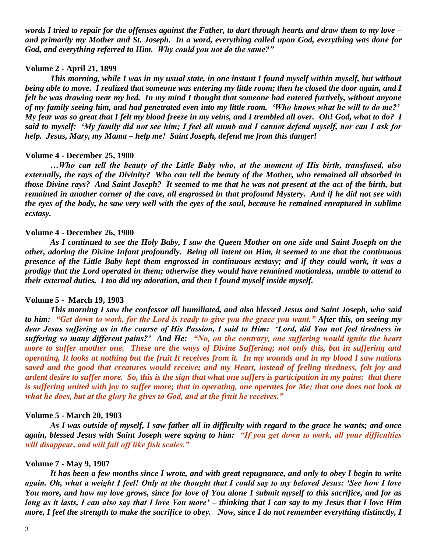*words I tried to repair for the offenses against the Father, to dart through hearts and draw them to my love – and primarily my Mother and St. Joseph. In a word, everything called upon God, everything was done for God, and everything referred to Him. Why could you not do the same?"*

## **Volume 2 - April 21, 1899**

*This morning, while I was in my usual state, in one instant I found myself within myself, but without being able to move. I realized that someone was entering my little room; then he closed the door again, and I felt he was drawing near my bed. In my mind I thought that someone had entered furtively, without anyone of my family seeing him, and had penetrated even into my little room. 'Who knows what he will to do me?' My fear was so great that I felt my blood freeze in my veins, and I trembled all over. Oh! God, what to do? I said to myself: 'My family did not see him; I feel all numb and I cannot defend myself, nor can I ask for help. Jesus, Mary, my Mama – help me! Saint Joseph, defend me from this danger!*

#### **Volume 4 - December 25, 1900**

*…Who can tell the beauty of the Little Baby who, at the moment of His birth, transfused, also externally, the rays of the Divinity? Who can tell the beauty of the Mother, who remained all absorbed in those Divine rays? And Saint Joseph? It seemed to me that he was not present at the act of the birth, but remained in another corner of the cave, all engrossed in that profound Mystery. And if he did not see with the eyes of the body, he saw very well with the eyes of the soul, because he remained enraptured in sublime ecstasy.*

#### **Volume 4 - December 26, 1900**

*As I continued to see the Holy Baby, I saw the Queen Mother on one side and Saint Joseph on the other, adoring the Divine Infant profoundly. Being all intent on Him, it seemed to me that the continuous presence of the Little Baby kept them engrossed in continuous ecstasy; and if they could work, it was a prodigy that the Lord operated in them; otherwise they would have remained motionless, unable to attend to their external duties. I too did my adoration, and then I found myself inside myself.*

#### **Volume 5 - March 19, 1903**

*This morning I saw the confessor all humiliated, and also blessed Jesus and Saint Joseph, who said to him: "Get down to work, for the Lord is ready to give you the grace you want." After this, on seeing my dear Jesus suffering as in the course of His Passion, I said to Him: 'Lord, did You not feel tiredness in suffering so many different pains?' And He: "No, on the contrary, one suffering would ignite the heart more to suffer another one. These are the ways of Divine Suffering; not only this, but in suffering and operating, It looks at nothing but the fruit It receives from it. In my wounds and in my blood I saw nations saved and the good that creatures would receive; and my Heart, instead of feeling tiredness, felt joy and ardent desire to suffer more. So, this is the sign that what one suffers is participation in my pains: that there*  is suffering united with joy to suffer more; that in operating, one operates for Me; that one does not look at *what he does, but at the glory he gives to God, and at the fruit he receives."*

#### **Volume 5 - March 20, 1903**

*As I was outside of myself, I saw father all in difficulty with regard to the grace he wants; and once again, blessed Jesus with Saint Joseph were saying to him: "If you get down to work, all your difficulties will disappear, and will fall off like fish scales."*

#### **Volume 7 - May 9, 1907**

*It has been a few months since I wrote, and with great repugnance, and only to obey I begin to write again. Oh, what a weight I feel! Only at the thought that I could say to my beloved Jesus: 'See how I love You more, and how my love grows, since for love of You alone I submit myself to this sacrifice, and for as long as it lasts, I can also say that I love You more' – thinking that I can say to my Jesus that I love Him more, I feel the strength to make the sacrifice to obey. Now, since I do not remember everything distinctly, I*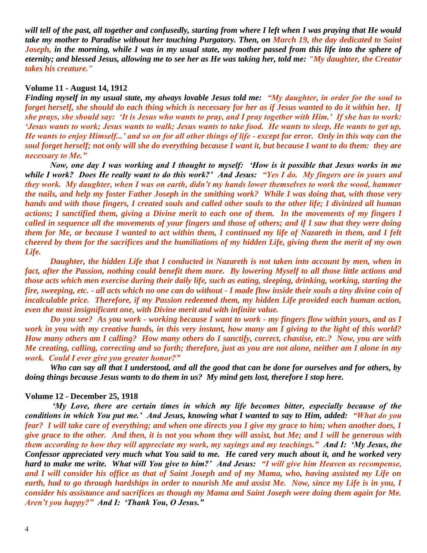will tell of the past, all together and confusedly, starting from where I left when I was praying that He would *take my mother to Paradise without her touching Purgatory. Then, on March 19, the day dedicated to Saint Joseph, in the morning, while I was in my usual state, my mother passed from this life into the sphere of eternity; and blessed Jesus, allowing me to see her as He was taking her, told me: "My daughter, the Creator takes his creature."*

## **Volume 11 - August 14, 1912**

*Finding myself in my usual state, my always lovable Jesus told me: "My daughter, in order for the soul to forget herself, she should do each thing which is necessary for her as if Jesus wanted to do it within her. If she prays, she should say: 'It is Jesus who wants to pray, and I pray together with Him.' If she has to work: 'Jesus wants to work; Jesus wants to walk; Jesus wants to take food. He wants to sleep, He wants to get up, He wants to enjoy Himself...' and so on for all other things of life - except for error. Only in this way can the soul forget herself; not only will she do everything because I want it, but because I want to do them: they are necessary to Me."*

*Now, one day I was working and I thought to myself: 'How is it possible that Jesus works in me while I work? Does He really want to do this work?' And Jesus: "Yes I do. My fingers are in yours and they work. My daughter, when I was on earth, didn't my hands lower themselves to work the wood, hammer the nails, and help my foster Father Joseph in the smithing work? While I was doing that, with those very hands and with those fingers, I created souls and called other souls to the other life; I divinized all human actions; I sanctified them, giving a Divine merit to each one of them. In the movements of my fingers I called in sequence all the movements of your fingers and those of others; and if I saw that they were doing them for Me, or because I wanted to act within them, I continued my life of Nazareth in them, and I felt cheered by them for the sacrifices and the humiliations of my hidden Life, giving them the merit of my own Life.*

*Daughter, the hidden Life that I conducted in Nazareth is not taken into account by men, when in fact, after the Passion, nothing could benefit them more. By lowering Myself to all those little actions and those acts which men exercise during their daily life, such as eating, sleeping, drinking, working, starting the fire, sweeping, etc. - all acts which no one can do without - I made flow inside their souls a tiny divine coin of incalculable price. Therefore, if my Passion redeemed them, my hidden Life provided each human action, even the most insignificant one, with Divine merit and with infinite value.*

*Do you see? As you work - working because I want to work - my fingers flow within yours, and as I work in you with my creative hands, in this very instant, how many am I giving to the light of this world? How many others am I calling? How many others do I sanctify, correct, chastise, etc.? Now, you are with Me creating, calling, correcting and so forth; therefore, just as you are not alone, neither am I alone in my work. Could I ever give you greater honor?"*

*Who can say all that I understood, and all the good that can be done for ourselves and for others, by doing things because Jesus wants to do them in us? My mind gets lost, therefore I stop here.*

#### **Volume 12 - December 25, 1918**

*'My Love, there are certain times in which my life becomes bitter, especially because of the conditions in which You put me.' And Jesus, knowing what I wanted to say to Him, added: "What do you fear? I will take care of everything; and when one directs you I give my grace to him; when another does, I give grace to the other. And then, it is not you whom they will assist, but Me; and I will be generous with them according to how they will appreciate my work, my sayings and my teachings." And I: 'My Jesus, the Confessor appreciated very much what You said to me. He cared very much about it, and he worked very hard to make me write. What will You give to him?' And Jesus: "I will give him Heaven as recompense, and I will consider his office as that of Saint Joseph and of my Mama, who, having assisted my Life on earth, had to go through hardships in order to nourish Me and assist Me. Now, since my Life is in you, I consider his assistance and sacrifices as though my Mama and Saint Joseph were doing them again for Me. Aren't you happy?" And I: 'Thank You, O Jesus."*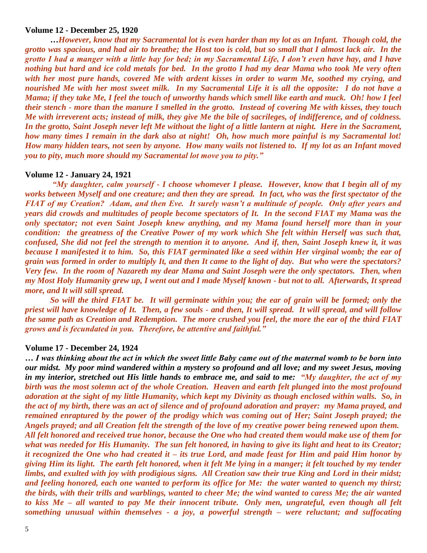## **Volume 12 - December 25, 1920**

**…***However, know that my Sacramental lot is even harder than my lot as an Infant. Though cold, the grotto was spacious, and had air to breathe; the Host too is cold, but so small that I almost lack air. In the grotto I had a manger with a little hay for bed; in my Sacramental Life, I don't even have hay, and I have nothing but hard and ice cold metals for bed. In the grotto I had my dear Mama who took Me very often with her most pure hands, covered Me with ardent kisses in order to warm Me, soothed my crying, and nourished Me with her most sweet milk. In my Sacramental Life it is all the opposite: I do not have a Mama; if they take Me, I feel the touch of unworthy hands which smell like earth and muck. Oh! how I feel their stench - more than the manure I smelled in the grotto. Instead of covering Me with kisses, they touch Me with irreverent acts; instead of milk, they give Me the bile of sacrileges, of indifference, and of coldness. In the grotto, Saint Joseph never left Me without the light of a little lantern at night. Here in the Sacrament, how many times I remain in the dark also at night! Oh, how much more painful is my Sacramental lot! How many hidden tears, not seen by anyone. How many wails not listened to. If my lot as an Infant moved you to pity, much more should my Sacramental lot move you to pity."*

## **Volume 12 - January 24, 1921**

*"My daughter, calm yourself - I choose whomever I please. However, know that I begin all of my works between Myself and one creature; and then they are spread. In fact, who was the first spectator of the FIAT of my Creation? Adam, and then Eve. It surely wasn't a multitude of people. Only after years and years did crowds and multitudes of people become spectators of It. In the second FIAT my Mama was the only spectator; not even Saint Joseph knew anything, and my Mama found herself more than in your condition: the greatness of the Creative Power of my work which She felt within Herself was such that, confused, She did not feel the strength to mention it to anyone. And if, then, Saint Joseph knew it, it was because I manifested it to him. So, this FIAT germinated like a seed within Her virginal womb; the ear of grain was formed in order to multiply It, and then It came to the light of day. But who were the spectators? Very few. In the room of Nazareth my dear Mama and Saint Joseph were the only spectators. Then, when my Most Holy Humanity grew up, I went out and I made Myself known - but not to all. Afterwards, It spread more, and It will still spread.* 

*So will the third FIAT be. It will germinate within you; the ear of grain will be formed; only the priest will have knowledge of It. Then, a few souls - and then, It will spread. It will spread, and will follow the same path as Creation and Redemption. The more crushed you feel, the more the ear of the third FIAT grows and is fecundated in you. Therefore, be attentive and faithful."*

#### **Volume 17 - December 24, 1924**

*… I was thinking about the act in which the sweet little Baby came out of the maternal womb to be born into our midst. My poor mind wandered within a mystery so profound and all love; and my sweet Jesus, moving in my interior, stretched out His little hands to embrace me, and said to me: "My daughter, the act of my birth was the most solemn act of the whole Creation. Heaven and earth felt plunged into the most profound adoration at the sight of my little Humanity, which kept my Divinity as though enclosed within walls. So, in the act of my birth, there was an act of silence and of profound adoration and prayer: my Mama prayed, and remained enraptured by the power of the prodigy which was coming out of Her; Saint Joseph prayed; the Angels prayed; and all Creation felt the strength of the love of my creative power being renewed upon them. All felt honored and received true honor, because the One who had created them would make use of them for what was needed for His Humanity. The sun felt honored, in having to give its light and heat to its Creator; it recognized the One who had created it – its true Lord, and made feast for Him and paid Him honor by giving Him its light. The earth felt honored, when it felt Me lying in a manger; it felt touched by my tender limbs, and exulted with joy with prodigious signs. All Creation saw their true King and Lord in their midst; and feeling honored, each one wanted to perform its office for Me: the water wanted to quench my thirst; the birds, with their trills and warblings, wanted to cheer Me; the wind wanted to caress Me; the air wanted to kiss Me – all wanted to pay Me their innocent tribute. Only men, ungrateful, even though all felt something unusual within themselves - a joy, a powerful strength – were reluctant; and suffocating*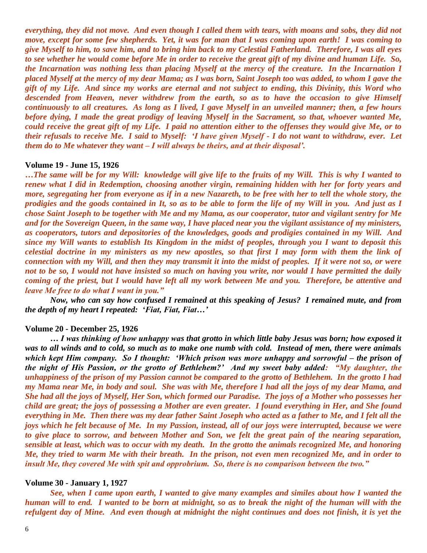*everything, they did not move. And even though I called them with tears, with moans and sobs, they did not move, except for some few shepherds. Yet, it was for man that I was coming upon earth! I was coming to give Myself to him, to save him, and to bring him back to my Celestial Fatherland. Therefore, I was all eyes to see whether he would come before Me in order to receive the great gift of my divine and human Life. So, the Incarnation was nothing less than placing Myself at the mercy of the creature. In the Incarnation I placed Myself at the mercy of my dear Mama; as I was born, Saint Joseph too was added, to whom I gave the gift of my Life. And since my works are eternal and not subject to ending, this Divinity, this Word who descended from Heaven, never withdrew from the earth, so as to have the occasion to give Himself continuously to all creatures. As long as I lived, I gave Myself in an unveiled manner; then, a few hours before dying, I made the great prodigy of leaving Myself in the Sacrament, so that, whoever wanted Me, could receive the great gift of my Life. I paid no attention either to the offenses they would give Me, or to their refusals to receive Me. I said to Myself: 'I have given Myself - I do not want to withdraw, ever. Let them do to Me whatever they want – I will always be theirs, and at their disposal'.*

## **Volume 19 - June 15, 1926**

*…The same will be for my Will: knowledge will give life to the fruits of my Will. This is why I wanted to renew what I did in Redemption, choosing another virgin, remaining hidden with her for forty years and more, segregating her from everyone as if in a new Nazareth, to be free with her to tell the whole story, the prodigies and the goods contained in It, so as to be able to form the life of my Will in you. And just as I chose Saint Joseph to be together with Me and my Mama, as our cooperator, tutor and vigilant sentry for Me and for the Sovereign Queen, in the same way, I have placed near you the vigilant assistance of my ministers, as cooperators, tutors and depositories of the knowledges, goods and prodigies contained in my Will. And since my Will wants to establish Its Kingdom in the midst of peoples, through you I want to deposit this celestial doctrine in my ministers as my new apostles, so that first I may form with them the link of connection with my Will, and then they may transmit it into the midst of peoples. If it were not so, or were not to be so, I would not have insisted so much on having you write, nor would I have permitted the daily coming of the priest, but I would have left all my work between Me and you. Therefore, be attentive and leave Me free to do what I want in you."*

*Now, who can say how confused I remained at this speaking of Jesus? I remained mute, and from the depth of my heart I repeated: 'Fiat, Fiat, Fiat…'*

#### **Volume 20 - December 25, 1926**

*… I was thinking of how unhappy was that grotto in which little baby Jesus was born; how exposed it was to all winds and to cold, so much as to make one numb with cold. Instead of men, there were animals which kept Him company. So I thought: 'Which prison was more unhappy and sorrowful – the prison of the night of His Passion, or the grotto of Bethlehem?' And my sweet baby added: "My daughter, the unhappiness of the prison of my Passion cannot be compared to the grotto of Bethlehem. In the grotto I had my Mama near Me, in body and soul. She was with Me, therefore I had all the joys of my dear Mama, and She had all the joys of Myself, Her Son, which formed our Paradise. The joys of a Mother who possesses her child are great; the joys of possessing a Mother are even greater. I found everything in Her, and She found everything in Me. Then there was my dear father Saint Joseph who acted as a father to Me, and I felt all the joys which he felt because of Me. In my Passion, instead, all of our joys were interrupted, because we were to give place to sorrow, and between Mother and Son, we felt the great pain of the nearing separation, sensible at least, which was to occur with my death. In the grotto the animals recognized Me, and honoring Me, they tried to warm Me with their breath. In the prison, not even men recognized Me, and in order to insult Me, they covered Me with spit and opprobrium. So, there is no comparison between the two."*

#### **Volume 30 - January 1, 1927**

*See, when I came upon earth, I wanted to give many examples and similes about how I wanted the human will to end. I wanted to be born at midnight, so as to break the night of the human will with the refulgent day of Mine. And even though at midnight the night continues and does not finish, it is yet the*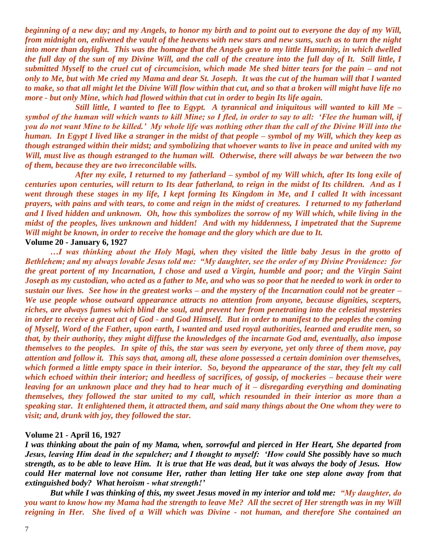*beginning of a new day; and my Angels, to honor my birth and to point out to everyone the day of my Will, from midnight on, enlivened the vault of the heavens with new stars and new suns, such as to turn the night into more than daylight. This was the homage that the Angels gave to my little Humanity, in which dwelled the full day of the sun of my Divine Will, and the call of the creature into the full day of It. Still little, I submitted Myself to the cruel cut of circumcision, which made Me shed bitter tears for the pain – and not only to Me, but with Me cried my Mama and dear St. Joseph. It was the cut of the human will that I wanted to make, so that all might let the Divine Will flow within that cut, and so that a broken will might have life no more - but only Mine, which had flowed within that cut in order to begin Its life again.* 

*Still little, I wanted to flee to Egypt. A tyrannical and iniquitous will wanted to kill Me – symbol of the human will which wants to kill Mine; so I fled, in order to say to all: 'Flee the human will, if you do not want Mine to be killed.' My whole life was nothing other than the call of the Divine Will into the human. In Egypt I lived like a stranger in the midst of that people – symbol of my Will, which they keep as though estranged within their midst; and symbolizing that whoever wants to live in peace and united with my Will, must live as though estranged to the human will. Otherwise, there will always be war between the two of them, because they are two irreconcilable wills.* 

*After my exile, I returned to my fatherland – symbol of my Will which, after Its long exile of centuries upon centuries, will return to Its dear fatherland, to reign in the midst of Its children. And as I went through these stages in my life, I kept forming Its Kingdom in Me, and I called It with incessant prayers, with pains and with tears, to come and reign in the midst of creatures. I returned to my fatherland and I lived hidden and unknown. Oh, how this symbolizes the sorrow of my Will which, while living in the midst of the peoples, lives unknown and hidden! And with my hiddenness, I impetrated that the Supreme Will might be known, in order to receive the homage and the glory which are due to It.* 

## **Volume 20 - January 6, 1927**

*…I was thinking about the Holy Magi, when they visited the little baby Jesus in the grotto of Bethlehem; and my always lovable Jesus told me: "My daughter, see the order of my Divine Providence: for the great portent of my Incarnation, I chose and used a Virgin, humble and poor; and the Virgin Saint Joseph as my custodian, who acted as a father to Me, and who was so poor that he needed to work in order to sustain our lives. See how in the greatest works – and the mystery of the Incarnation could not be greater – We use people whose outward appearance attracts no attention from anyone, because dignities, scepters, riches, are always fumes which blind the soul, and prevent her from penetrating into the celestial mysteries in order to receive a great act of God - and God Himself. But in order to manifest to the peoples the coming of Myself, Word of the Father, upon earth, I wanted and used royal authorities, learned and erudite men, so that, by their authority, they might diffuse the knowledges of the incarnate God and, eventually, also impose themselves to the peoples. In spite of this, the star was seen by everyone, yet only three of them move, pay attention and follow it. This says that, among all, these alone possessed a certain dominion over themselves, which formed a little empty space in their interior. So, beyond the appearance of the star, they felt my call which echoed within their interior; and heedless of sacrifices, of gossip, of mockeries – because their were leaving for an unknown place and they had to hear much of it – disregarding everything and dominating themselves, they followed the star united to my call, which resounded in their interior as more than a speaking star. It enlightened them, it attracted them, and said many things about the One whom they were to visit; and, drunk with joy, they followed the star.* 

## **Volume 21 - April 16, 1927**

*I was thinking about the pain of my Mama, when, sorrowful and pierced in Her Heart, She departed from Jesus, leaving Him dead in the sepulcher; and I thought to myself: 'How could She possibly have so much strength, as to be able to leave Him. It is true that He was dead, but it was always the body of Jesus. How could Her maternal love not consume Her, rather than letting Her take one step alone away from that extinguished body? What heroism - what strength!'*

*But while I was thinking of this, my sweet Jesus moved in my interior and told me: "My daughter, do you want to know how my Mama had the strength to leave Me? All the secret of Her strength was in my Will reigning in Her. She lived of a Will which was Divine - not human, and therefore She contained an*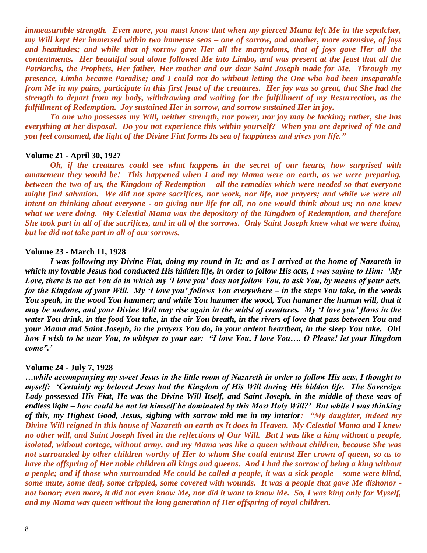*immeasurable strength. Even more, you must know that when my pierced Mama left Me in the sepulcher, my Will kept Her immersed within two immense seas – one of sorrow, and another, more extensive, of joys and beatitudes; and while that of sorrow gave Her all the martyrdoms, that of joys gave Her all the contentments. Her beautiful soul alone followed Me into Limbo, and was present at the feast that all the Patriarchs, the Prophets, Her father, Her mother and our dear Saint Joseph made for Me. Through my presence, Limbo became Paradise; and I could not do without letting the One who had been inseparable from Me in my pains, participate in this first feast of the creatures. Her joy was so great, that She had the strength to depart from my body, withdrawing and waiting for the fulfillment of my Resurrection, as the fulfillment of Redemption. Joy sustained Her in sorrow, and sorrow sustained Her in joy.*

*To one who possesses my Will, neither strength, nor power, nor joy may be lacking; rather, she has everything at her disposal. Do you not experience this within yourself? When you are deprived of Me and you feel consumed, the light of the Divine Fiat forms Its sea of happiness and gives you life."*

#### **Volume 21 - April 30, 1927**

*Oh, if the creatures could see what happens in the secret of our hearts, how surprised with amazement they would be! This happened when I and my Mama were on earth, as we were preparing, between the two of us, the Kingdom of Redemption – all the remedies which were needed so that everyone might find salvation. We did not spare sacrifices, nor work, nor life, nor prayers; and while we were all intent on thinking about everyone - on giving our life for all, no one would think about us; no one knew what we were doing. My Celestial Mama was the depository of the Kingdom of Redemption, and therefore She took part in all of the sacrifices, and in all of the sorrows. Only Saint Joseph knew what we were doing, but he did not take part in all of our sorrows.*

## **Volume 23 - March 11, 1928**

*I was following my Divine Fiat, doing my round in It; and as I arrived at the home of Nazareth in which my lovable Jesus had conducted His hidden life, in order to follow His acts, I was saying to Him: 'My Love, there is no act You do in which my 'I love you' does not follow You, to ask You, by means of your acts, for the Kingdom of your Will. My 'I love you' follows You everywhere – in the steps You take, in the words You speak, in the wood You hammer; and while You hammer the wood, You hammer the human will, that it may be undone, and your Divine Will may rise again in the midst of creatures. My 'I love you' flows in the water You drink, in the food You take, in the air You breath, in the rivers of love that pass between You and your Mama and Saint Joseph, in the prayers You do, in your ardent heartbeat, in the sleep You take. Oh! how I wish to be near You, to whisper to your ear: "I love You, I love You…. O Please! let your Kingdom come".'*

#### **Volume 24 - July 7, 1928**

*…while accompanying my sweet Jesus in the little room of Nazareth in order to follow His acts, I thought to myself: 'Certainly my beloved Jesus had the Kingdom of His Will during His hidden life. The Sovereign Lady possessed His Fiat, He was the Divine Will Itself, and Saint Joseph, in the middle of these seas of endless light – how could he not let himself be dominated by this Most Holy Will?' But while I was thinking of this, my Highest Good, Jesus, sighing with sorrow told me in my interior: "My daughter, indeed my Divine Will reigned in this house of Nazareth on earth as It does in Heaven. My Celestial Mama and I knew no other will, and Saint Joseph lived in the reflections of Our Will. But I was like a king without a people, isolated, without cortege, without army, and my Mama was like a queen without children, because She was not surrounded by other children worthy of Her to whom She could entrust Her crown of queen, so as to have the offspring of Her noble children all kings and queens. And I had the sorrow of being a king without a people; and if those who surrounded Me could be called a people, it was a sick people – some were blind, some mute, some deaf, some crippled, some covered with wounds. It was a people that gave Me dishonor not honor; even more, it did not even know Me, nor did it want to know Me. So, I was king only for Myself, and my Mama was queen without the long generation of Her offspring of royal children.*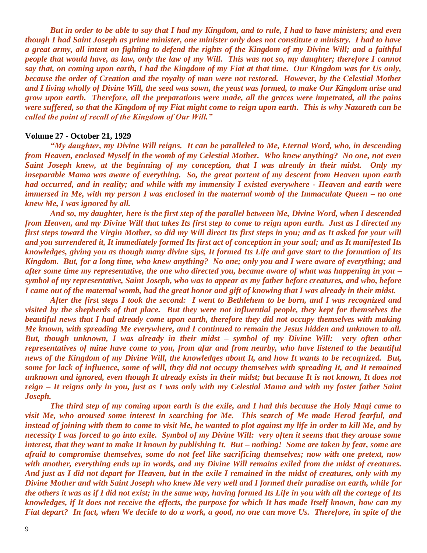*But in order to be able to say that I had my Kingdom, and to rule, I had to have ministers; and even though I had Saint Joseph as prime minister, one minister only does not constitute a ministry. I had to have a great army, all intent on fighting to defend the rights of the Kingdom of my Divine Will; and a faithful people that would have, as law, only the law of my Will. This was not so, my daughter; therefore I cannot say that, on coming upon earth, I had the Kingdom of my Fiat at that time. Our Kingdom was for Us only, because the order of Creation and the royalty of man were not restored. However, by the Celestial Mother and I living wholly of Divine Will, the seed was sown, the yeast was formed, to make Our Kingdom arise and grow upon earth. Therefore, all the preparations were made, all the graces were impetrated, all the pains were suffered, so that the Kingdom of my Fiat might come to reign upon earth. This is why Nazareth can be called the point of recall of the Kingdom of Our Will."*

#### **Volume 27 - October 21, 1929**

*"My daughter, my Divine Will reigns. It can be paralleled to Me, Eternal Word, who, in descending from Heaven, enclosed Myself in the womb of my Celestial Mother. Who knew anything? No one, not even Saint Joseph knew, at the beginning of my conception, that I was already in their midst. Only my inseparable Mama was aware of everything. So, the great portent of my descent from Heaven upon earth had occurred, and in reality; and while with my immensity I existed everywhere - Heaven and earth were immersed in Me, with my person I was enclosed in the maternal womb of the Immaculate Queen – no one knew Me, I was ignored by all.*

*And so, my daughter, here is the first step of the parallel between Me, Divine Word, when I descended from Heaven, and my Divine Will that takes Its first step to come to reign upon earth. Just as I directed my first steps toward the Virgin Mother, so did my Will direct Its first steps in you; and as It asked for your will and you surrendered it, It immediately formed Its first act of conception in your soul; and as It manifested Its knowledges, giving you as though many divine sips, It formed Its Life and gave start to the formation of Its Kingdom. But, for a long time, who knew anything? No one; only you and I were aware of everything; and after some time my representative, the one who directed you, became aware of what was happening in you – symbol of my representative, Saint Joseph, who was to appear as my father before creatures, and who, before I came out of the maternal womb, had the great honor and gift of knowing that I was already in their midst.*

*After the first steps I took the second: I went to Bethlehem to be born, and I was recognized and visited by the shepherds of that place. But they were not influential people, they kept for themselves the beautiful news that I had already come upon earth, therefore they did not occupy themselves with making Me known, with spreading Me everywhere, and I continued to remain the Jesus hidden and unknown to all. But, though unknown, I was already in their midst – symbol of my Divine Will: very often other representatives of mine have come to you, from afar and from nearby, who have listened to the beautiful news of the Kingdom of my Divine Will, the knowledges about It, and how It wants to be recognized. But, some for lack of influence, some of will, they did not occupy themselves with spreading It, and It remained unknown and ignored, even though It already exists in their midst; but because It is not known, It does not reign – It reigns only in you, just as I was only with my Celestial Mama and with my foster father Saint Joseph.*

*The third step of my coming upon earth is the exile, and I had this because the Holy Magi came to visit Me, who aroused some interest in searching for Me. This search of Me made Herod fearful, and instead of joining with them to come to visit Me, he wanted to plot against my life in order to kill Me, and by necessity I was forced to go into exile. Symbol of my Divine Will: very often it seems that they arouse some interest, that they want to make It known by publishing It. But – nothing! Some are taken by fear, some are afraid to compromise themselves, some do not feel like sacrificing themselves; now with one pretext, now with another, everything ends up in words, and my Divine Will remains exiled from the midst of creatures. And just as I did not depart for Heaven, but in the exile I remained in the midst of creatures, only with my Divine Mother and with Saint Joseph who knew Me very well and I formed their paradise on earth, while for the others it was as if I did not exist; in the same way, having formed Its Life in you with all the cortege of Its knowledges, if It does not receive the effects, the purpose for which It has made Itself known, how can my Fiat depart? In fact, when We decide to do a work, a good, no one can move Us. Therefore, in spite of the*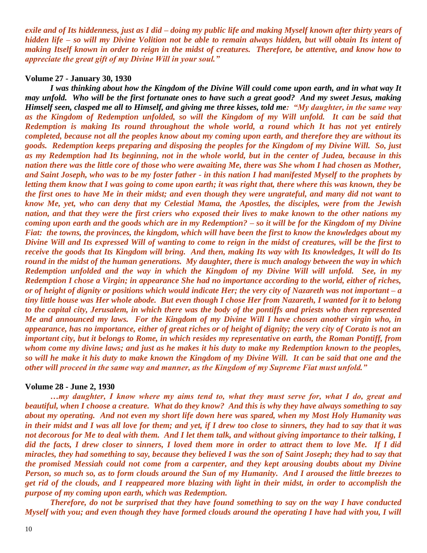*exile and of Its hiddenness, just as I did – doing my public life and making Myself known after thirty years of hidden life – so will my Divine Volition not be able to remain always hidden, but will obtain Its intent of making Itself known in order to reign in the midst of creatures. Therefore, be attentive, and know how to appreciate the great gift of my Divine Will in your soul."*

### **Volume 27 - January 30, 1930**

*I was thinking about how the Kingdom of the Divine Will could come upon earth, and in what way It may unfold. Who will be the first fortunate ones to have such a great good? And my sweet Jesus, making Himself seen, clasped me all to Himself, and giving me three kisses, told me: "My daughter, in the same way as the Kingdom of Redemption unfolded, so will the Kingdom of my Will unfold. It can be said that Redemption is making Its round throughout the whole world, a round which It has not yet entirely completed, because not all the peoples know about my coming upon earth, and therefore they are without its goods. Redemption keeps preparing and disposing the peoples for the Kingdom of my Divine Will. So, just as my Redemption had Its beginning, not in the whole world, but in the center of Judea, because in this nation there was the little core of those who were awaiting Me, there was She whom I had chosen as Mother, and Saint Joseph, who was to be my foster father - in this nation I had manifested Myself to the prophets by letting them know that I was going to come upon earth; it was right that, there where this was known, they be the first ones to have Me in their midst; and even though they were ungrateful, and many did not want to know Me, yet, who can deny that my Celestial Mama, the Apostles, the disciples, were from the Jewish nation, and that they were the first criers who exposed their lives to make known to the other nations my coming upon earth and the goods which are in my Redemption? – so it will be for the Kingdom of my Divine Fiat: the towns, the provinces, the kingdom, which will have been the first to know the knowledges about my Divine Will and Its expressed Will of wanting to come to reign in the midst of creatures, will be the first to receive the goods that Its Kingdom will bring. And then, making Its way with Its knowledges, It will do Its round in the midst of the human generations. My daughter, there is much analogy between the way in which Redemption unfolded and the way in which the Kingdom of my Divine Will will unfold. See, in my Redemption I chose a Virgin; in appearance She had no importance according to the world, either of riches, or of height of dignity or positions which would indicate Her; the very city of Nazareth was not important – a tiny little house was Her whole abode. But even though I chose Her from Nazareth, I wanted for it to belong to the capital city, Jerusalem, in which there was the body of the pontiffs and priests who then represented Me and announced my laws. For the Kingdom of my Divine Will I have chosen another virgin who, in appearance, has no importance, either of great riches or of height of dignity; the very city of Corato is not an important city, but it belongs to Rome, in which resides my representative on earth, the Roman Pontiff, from whom come my divine laws; and just as he makes it his duty to make my Redemption known to the peoples, so will he make it his duty to make known the Kingdom of my Divine Will. It can be said that one and the other will proceed in the same way and manner, as the Kingdom of my Supreme Fiat must unfold."*

#### **Volume 28 - June 2, 1930**

*…my daughter, I know where my aims tend to, what they must serve for, what I do, great and beautiful, when I choose a creature. What do they know? And this is why they have always something to say about my operating. And not even my short life down here was spared, when my Most Holy Humanity was in their midst and I was all love for them; and yet, if I drew too close to sinners, they had to say that it was not decorous for Me to deal with them. And I let them talk, and without giving importance to their talking, I did the facts, I drew closer to sinners, I loved them more in order to attract them to love Me. If I did miracles, they had something to say, because they believed I was the son of Saint Joseph; they had to say that the promised Messiah could not come from a carpenter, and they kept arousing doubts about my Divine Person, so much so, as to form clouds around the Sun of my Humanity. And I aroused the little breezes to get rid of the clouds, and I reappeared more blazing with light in their midst, in order to accomplish the purpose of my coming upon earth, which was Redemption.*

*Therefore, do not be surprised that they have found something to say on the way I have conducted Myself with you; and even though they have formed clouds around the operating I have had with you, I will*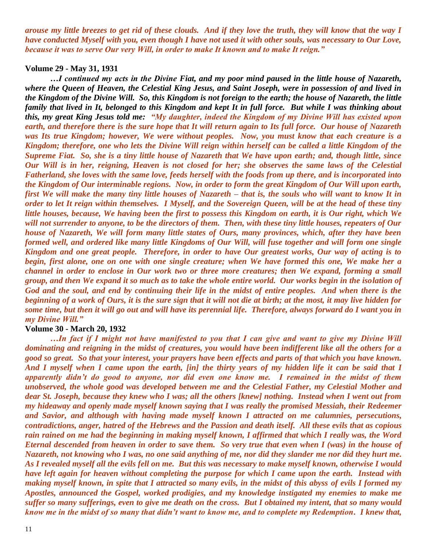*arouse my little breezes to get rid of these clouds. And if they love the truth, they will know that the way I have conducted Myself with you, even though I have not used it with other souls, was necessary to Our Love, because it was to serve Our very Will, in order to make It known and to make It reign."*

## **Volume 29 - May 31, 1931**

*…I continued my acts in the Divine Fiat, and my poor mind paused in the little house of Nazareth, where the Queen of Heaven, the Celestial King Jesus, and Saint Joseph, were in possession of and lived in the Kingdom of the Divine Will. So, this Kingdom is not foreign to the earth; the house of Nazareth, the little family that lived in It, belonged to this Kingdom and kept It in full force. But while I was thinking about this, my great King Jesus told me: "My daughter, indeed the Kingdom of my Divine Will has existed upon earth, and therefore there is the sure hope that It will return again to Its full force. Our house of Nazareth was Its true Kingdom; however, We were without peoples. Now, you must know that each creature is a Kingdom; therefore, one who lets the Divine Will reign within herself can be called a little Kingdom of the Supreme Fiat. So, she is a tiny little house of Nazareth that We have upon earth; and, though little, since Our Will is in her, reigning, Heaven is not closed for her; she observes the same laws of the Celestial Fatherland, she loves with the same love, feeds herself with the foods from up there, and is incorporated into the Kingdom of Our interminable regions. Now, in order to form the great Kingdom of Our Will upon earth, first We will make the many tiny little houses of Nazareth – that is, the souls who will want to know It in order to let It reign within themselves. I Myself, and the Sovereign Queen, will be at the head of these tiny little houses, because, We having been the first to possess this Kingdom on earth, it is Our right, which We will not surrender to anyone, to be the directors of them. Then, with these tiny little houses, repeaters of Our house of Nazareth, We will form many little states of Ours, many provinces, which, after they have been formed well, and ordered like many little Kingdoms of Our Will, will fuse together and will form one single Kingdom and one great people. Therefore, in order to have Our greatest works, Our way of acting is to begin, first alone, one on one with one single creature; when We have formed this one, We make her a channel in order to enclose in Our work two or three more creatures; then We expand, forming a small group, and then We expand it so much as to take the whole entire world. Our works begin in the isolation of God and the soul, and end by continuing their life in the midst of entire peoples. And when there is the beginning of a work of Ours, it is the sure sign that it will not die at birth; at the most, it may live hidden for some time, but then it will go out and will have its perennial life. Therefore, always forward do I want you in my Divine Will."*

#### **Volume 30 - March 20, 1932**

*…In fact if I might not have manifested to you that I can give and want to give my Divine Will dominating and reigning in the midst of creatures, you would have been indifferent like all the others for a good so great. So that your interest, your prayers have been effects and parts of that which you have known. And I myself when I came upon the earth, [in] the thirty years of my hidden life it can be said that I apparently didn't do good to anyone, nor did even one know me. I remained in the midst of them unobserved, the whole good was developed between me and the Celestial Father, my Celestial Mother and dear St. Joseph, because they knew who I was; all the others [knew] nothing. Instead when I went out from my hideaway and openly made myself known saying that I was really the promised Messiah, their Redeemer and Savior, and although with having made myself known I attracted on me calumnies, persecutions, contradictions, anger, hatred of the Hebrews and the Passion and death itself. All these evils that as copious rain rained on me had the beginning in making myself known, I affirmed that which I really was, the Word Eternal descended from heaven in order to save them. So very true that even when I (was) in the house of Nazareth, not knowing who I was, no one said anything of me, nor did they slander me nor did they hurt me. As I revealed myself all the evils fell on me. But this was necessary to make myself known, otherwise I would have left again for heaven without completing the purpose for which I came upon the earth. Instead with making myself known, in spite that I attracted so many evils, in the midst of this abyss of evils I formed my Apostles, announced the Gospel, worked prodigies, and my knowledge instigated my enemies to make me suffer so many sufferings, even to give me death on the cross. But I obtained my intent, that so many would know me in the midst of so many that didn't want to know me, and to complete my Redemption. I knew that,*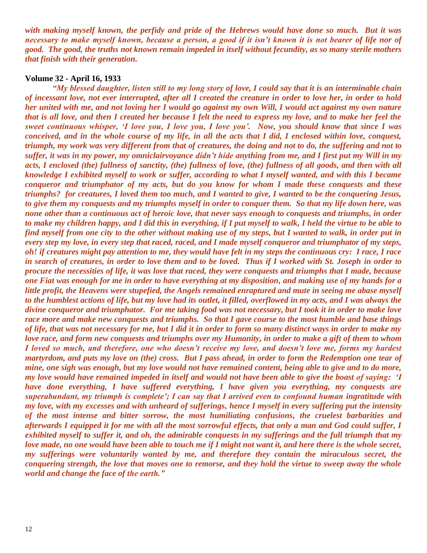*with making myself known, the perfidy and pride of the Hebrews would have done so much. But it was necessary to make myself known, because a person, a good if it isn't known it is not bearer of life nor of good. The good, the truths not known remain impeded in itself without fecundity, as so many sterile mothers that finish with their generation.*

## **Volume 32 - April 16, 1933**

*"My blessed daughter, listen still to my long story of love, I could say that it is an interminable chain of incessant love, not ever interrupted, after all I created the creature in order to love her, in order to hold her united with me, and not loving her I would go against my own Will, I would act against my own nature that is all love, and then I created her because I felt the need to express my love, and to make her feel the sweet continuous whisper, 'I love you, I love you, I love you'. Now, you should know that since I was conceived, and in the whole course of my life, in all the acts that I did, I enclosed within love, conquest, triumph, my work was very different from that of creatures, the doing and not to do, the suffering and not to suffer, it was in my power, my omniclairvoyance didn't hide anything from me, and I first put my Will in my acts, I enclosed (the) fullness of sanctity, (the) fullness of love, (the) fullness of all goods, and then with all knowledge I exhibited myself to work or suffer, according to what I myself wanted, and with this I became conqueror and triumphator of my acts, but do you know for whom I made these conquests and these triumphs? for creatures, I loved them too much, and I wanted to give, I wanted to be the conquering Jesus, to give them my conquests and my triumphs myself in order to conquer them. So that my life down here, was none other than a continuous act of heroic love, that never says enough to conquests and triumphs, in order to make my children happy, and I did this in everything, if I put myself to walk, I held the virtue to be able to find myself from one city to the other without making use of my steps, but I wanted to walk, in order put in every step my love, in every step that raced, raced, and I made myself conqueror and triumphator of my steps, oh! if creatures might pay attention to me, they would have felt in my steps the continuous cry: I race, I race in search of creatures, in order to love them and to be loved. Thus if I worked with St. Joseph in order to procure the necessities of life, it was love that raced, they were conquests and triumphs that I made, because one Fiat was enough for me in order to have everything at my disposition, and making use of my hands for a little profit, the Heavens were stupefied, the Angels remained enraptured and mute in seeing me abase myself to the humblest actions of life, but my love had its outlet, it filled, overflowed in my acts, and I was always the divine conqueror and triumphator. For me taking food was not necessary, but I took it in order to make love race more and make new conquests and triumphs. So that I gave course to the most humble and base things of life, that was not necessary for me, but I did it in order to form so many distinct ways in order to make my love race, and form new conquests and triumphs over my Humanity, in order to make a gift of them to whom I loved so much, and therefore, one who doesn't receive my love, and doesn't love me, forms my hardest martyrdom, and puts my love on (the) cross. But I pass ahead, in order to form the Redemption one tear of mine, one sigh was enough, but my love would not have remained content, being able to give and to do more, my love would have remained impeded in itself and would not have been able to give the boast of saying: 'I have done everything, I have suffered everything, I have given you everything, my conquests are superabundant, my triumph is complete'; I can say that I arrived even to confound human ingratitude with my love, with my excesses and with unheard of sufferings, hence I myself in every suffering put the intensity of the most intense and bitter sorrow, the most humiliating confusions, the cruelest barbarities and afterwards I equipped it for me with all the most sorrowful effects, that only a man and God could suffer, I exhibited myself to suffer it, and oh, the admirable conquests in my sufferings and the full triumph that my love made, no one would have been able to touch me if I might not want it, and here there is the whole secret, my sufferings were voluntarily wanted by me, and therefore they contain the miraculous secret, the conquering strength, the love that moves one to remorse, and they hold the virtue to sweep away the whole world and change the face of the earth."*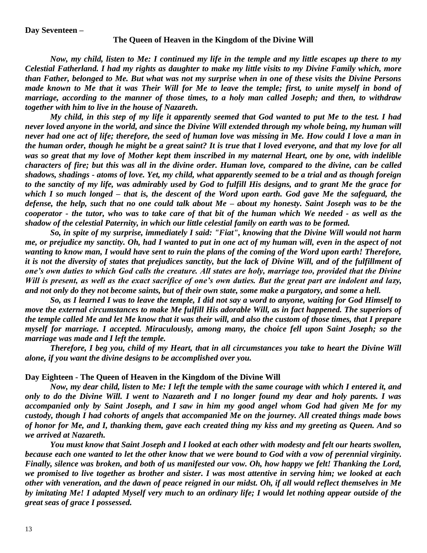## **Day Seventeen –**

## **The Queen of Heaven in the Kingdom of the Divine Will**

*Now, my child, listen to Me: I continued my life in the temple and my little escapes up there to my Celestial Fatherland. I had my rights as daughter to make my little visits to my Divine Family which, more than Father, belonged to Me. But what was not my surprise when in one of these visits the Divine Persons made known to Me that it was Their Will for Me to leave the temple; first, to unite myself in bond of marriage, according to the manner of those times, to a holy man called Joseph; and then, to withdraw together with him to live in the house of Nazareth.*

*My child, in this step of my life it apparently seemed that God wanted to put Me to the test. I had never loved anyone in the world, and since the Divine Will extended through my whole being, my human will never had one act of life; therefore, the seed of human love was missing in Me. How could I love a man in the human order, though he might be a great saint? It is true that I loved everyone, and that my love for all was so great that my love of Mother kept them inscribed in my maternal Heart, one by one, with indelible characters of fire; but this was all in the divine order. Human love, compared to the divine, can be called shadows, shadings - atoms of love. Yet, my child, what apparently seemed to be a trial and as though foreign to the sanctity of my life, was admirably used by God to fulfill His designs, and to grant Me the grace for which I so much longed – that is, the descent of the Word upon earth. God gave Me the safeguard, the defense, the help, such that no one could talk about Me – about my honesty. Saint Joseph was to be the cooperator - the tutor, who was to take care of that bit of the human which We needed - as well as the shadow of the celestial Paternity, in which our little celestial family on earth was to be formed.*

*So, in spite of my surprise, immediately I said: "Fiat", knowing that the Divine Will would not harm me, or prejudice my sanctity. Oh, had I wanted to put in one act of my human will, even in the aspect of not wanting to know man, I would have sent to ruin the plans of the coming of the Word upon earth! Therefore, it is not the diversity of states that prejudices sanctity, but the lack of Divine Will, and of the fulfillment of one's own duties to which God calls the creature. All states are holy, marriage too, provided that the Divine Will is present, as well as the exact sacrifice of one's own duties. But the great part are indolent and lazy, and not only do they not become saints, but of their own state, some make a purgatory, and some a hell.*

*So, as I learned I was to leave the temple, I did not say a word to anyone, waiting for God Himself to move the external circumstances to make Me fulfill His adorable Will, as in fact happened. The superiors of the temple called Me and let Me know that it was their will, and also the custom of those times, that I prepare myself for marriage. I accepted. Miraculously, among many, the choice fell upon Saint Joseph; so the marriage was made and I left the temple.*

*Therefore, I beg you, child of my Heart, that in all circumstances you take to heart the Divine Will alone, if you want the divine designs to be accomplished over you.*

## **Day Eighteen - The Queen of Heaven in the Kingdom of the Divine Will**

*Now, my dear child, listen to Me: I left the temple with the same courage with which I entered it, and only to do the Divine Will. I went to Nazareth and I no longer found my dear and holy parents. I was accompanied only by Saint Joseph, and I saw in him my good angel whom God had given Me for my custody, though I had cohorts of angels that accompanied Me on the journey. All created things made bows of honor for Me, and I, thanking them, gave each created thing my kiss and my greeting as Queen. And so we arrived at Nazareth.*

*You must know that Saint Joseph and I looked at each other with modesty and felt our hearts swollen, because each one wanted to let the other know that we were bound to God with a vow of perennial virginity. Finally, silence was broken, and both of us manifested our vow. Oh, how happy we felt! Thanking the Lord, we promised to live together as brother and sister. I was most attentive in serving him; we looked at each other with veneration, and the dawn of peace reigned in our midst. Oh, if all would reflect themselves in Me by imitating Me! I adapted Myself very much to an ordinary life; I would let nothing appear outside of the great seas of grace I possessed.*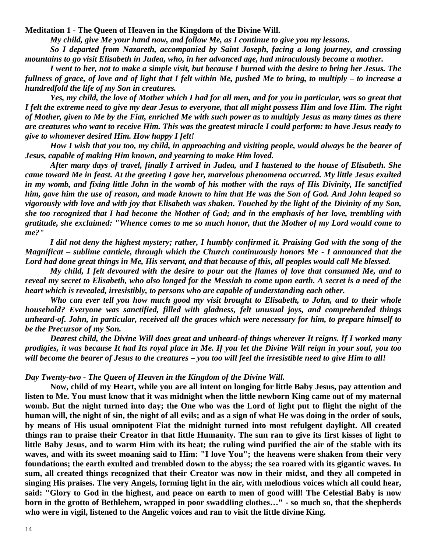**Meditation 1 - The Queen of Heaven in the Kingdom of the Divine Will.** 

*My child, give Me your hand now, and follow Me, as I continue to give you my lessons.*

*So I departed from Nazareth, accompanied by Saint Joseph, facing a long journey, and crossing mountains to go visit Elisabeth in Judea, who, in her advanced age, had miraculously become a mother.*

*I went to her, not to make a simple visit, but because I burned with the desire to bring her Jesus. The fullness of grace, of love and of light that I felt within Me, pushed Me to bring, to multiply – to increase a hundredfold the life of my Son in creatures.*

*Yes, my child, the love of Mother which I had for all men, and for you in particular, was so great that I felt the extreme need to give my dear Jesus to everyone, that all might possess Him and love Him. The right of Mother, given to Me by the Fiat, enriched Me with such power as to multiply Jesus as many times as there are creatures who want to receive Him. This was the greatest miracle I could perform: to have Jesus ready to give to whomever desired Him. How happy I felt!*

*How I wish that you too, my child, in approaching and visiting people, would always be the bearer of Jesus, capable of making Him known, and yearning to make Him loved.*

*After many days of travel, finally I arrived in Judea, and I hastened to the house of Elisabeth. She came toward Me in feast. At the greeting I gave her, marvelous phenomena occurred. My little Jesus exulted in my womb, and fixing little John in the womb of his mother with the rays of His Divinity, He sanctified him, gave him the use of reason, and made known to him that He was the Son of God. And John leaped so vigorously with love and with joy that Elisabeth was shaken. Touched by the light of the Divinity of my Son, she too recognized that I had become the Mother of God; and in the emphasis of her love, trembling with gratitude, she exclaimed: "Whence comes to me so much honor, that the Mother of my Lord would come to me?"*

*I did not deny the highest mystery; rather, I humbly confirmed it. Praising God with the song of the Magnificat – sublime canticle, through which the Church continuously honors Me - I announced that the Lord had done great things in Me, His servant, and that because of this, all peoples would call Me blessed.*

*My child, I felt devoured with the desire to pour out the flames of love that consumed Me, and to reveal my secret to Elisabeth, who also longed for the Messiah to come upon earth. A secret is a need of the heart which is revealed, irresistibly, to persons who are capable of understanding each other.*

*Who can ever tell you how much good my visit brought to Elisabeth, to John, and to their whole household? Everyone was sanctified, filled with gladness, felt unusual joys, and comprehended things unheard-of. John, in particular, received all the graces which were necessary for him, to prepare himself to be the Precursor of my Son.*

*Dearest child, the Divine Will does great and unheard-of things wherever It reigns. If I worked many prodigies, it was because It had Its royal place in Me. If you let the Divine Will reign in your soul, you too will become the bearer of Jesus to the creatures – you too will feel the irresistible need to give Him to all!*

### *Day Twenty-two - The Queen of Heaven in the Kingdom of the Divine Will.*

**Now, child of my Heart, while you are all intent on longing for little Baby Jesus, pay attention and listen to Me. You must know that it was midnight when the little newborn King came out of my maternal womb. But the night turned into day; the One who was the Lord of light put to flight the night of the human will, the night of sin, the night of all evils; and as a sign of what He was doing in the order of souls, by means of His usual omnipotent Fiat the midnight turned into most refulgent daylight. All created things ran to praise their Creator in that little Humanity. The sun ran to give its first kisses of light to little Baby Jesus, and to warm Him with its heat; the ruling wind purified the air of the stable with its waves, and with its sweet moaning said to Him: "I love You"; the heavens were shaken from their very foundations; the earth exulted and trembled down to the abyss; the sea roared with its gigantic waves. In sum, all created things recognized that their Creator was now in their midst, and they all competed in singing His praises. The very Angels, forming light in the air, with melodious voices which all could hear, said: "Glory to God in the highest, and peace on earth to men of good will! The Celestial Baby is now born in the grotto of Bethlehem, wrapped in poor swaddling clothes…" - so much so, that the shepherds who were in vigil, listened to the Angelic voices and ran to visit the little divine King.**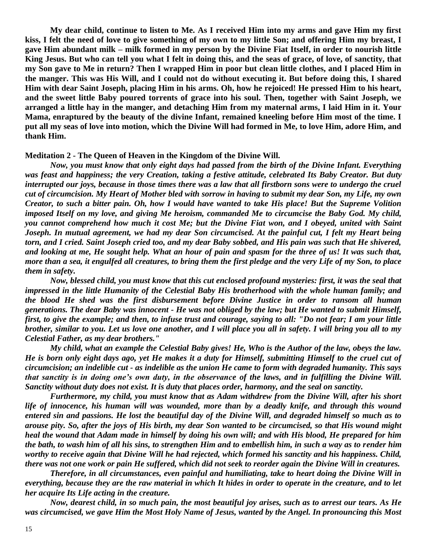**My dear child, continue to listen to Me. As I received Him into my arms and gave Him my first kiss, I felt the need of love to give something of my own to my little Son; and offering Him my breast, I gave Him abundant milk – milk formed in my person by the Divine Fiat Itself, in order to nourish little King Jesus. But who can tell you what I felt in doing this, and the seas of grace, of love, of sanctity, that my Son gave to Me in return? Then I wrapped Him in poor but clean little clothes, and I placed Him in the manger. This was His Will, and I could not do without executing it. But before doing this, I shared Him with dear Saint Joseph, placing Him in his arms. Oh, how he rejoiced! He pressed Him to his heart, and the sweet little Baby poured torrents of grace into his soul. Then, together with Saint Joseph, we arranged a little hay in the manger, and detaching Him from my maternal arms, I laid Him in it. Your Mama, enraptured by the beauty of the divine Infant, remained kneeling before Him most of the time. I put all my seas of love into motion, which the Divine Will had formed in Me, to love Him, adore Him, and thank Him.**

### **Meditation 2 - The Queen of Heaven in the Kingdom of the Divine Will.**

*Now, you must know that only eight days had passed from the birth of the Divine Infant. Everything was feast and happiness; the very Creation, taking a festive attitude, celebrated Its Baby Creator. But duty interrupted our joys, because in those times there was a law that all firstborn sons were to undergo the cruel cut of circumcision. My Heart of Mother bled with sorrow in having to submit my dear Son, my Life, my own Creator, to such a bitter pain. Oh, how I would have wanted to take His place! But the Supreme Volition imposed Itself on my love, and giving Me heroism, commanded Me to circumcise the Baby God. My child, you cannot comprehend how much it cost Me; but the Divine Fiat won, and I obeyed, united with Saint Joseph. In mutual agreement, we had my dear Son circumcised. At the painful cut, I felt my Heart being torn, and I cried. Saint Joseph cried too, and my dear Baby sobbed, and His pain was such that He shivered, and looking at me, He sought help. What an hour of pain and spasm for the three of us! It was such that, more than a sea, it engulfed all creatures, to bring them the first pledge and the very Life of my Son, to place them in safety.*

*Now, blessed child, you must know that this cut enclosed profound mysteries: first, it was the seal that impressed in the little Humanity of the Celestial Baby His brotherhood with the whole human family; and the blood He shed was the first disbursement before Divine Justice in order to ransom all human generations. The dear Baby was innocent - He was not obliged by the law; but He wanted to submit Himself, first, to give the example; and then, to infuse trust and courage, saying to all: "Do not fear; I am your little brother, similar to you. Let us love one another, and I will place you all in safety. I will bring you all to my Celestial Father, as my dear brothers."*

*My child, what an example the Celestial Baby gives! He, Who is the Author of the law, obeys the law. He is born only eight days ago, yet He makes it a duty for Himself, submitting Himself to the cruel cut of circumcision; an indelible cut - as indelible as the union He came to form with degraded humanity. This says that sanctity is in doing one's own duty, in the observance of the laws, and in fulfilling the Divine Will. Sanctity without duty does not exist. It is duty that places order, harmony, and the seal on sanctity.*

*Furthermore, my child, you must know that as Adam withdrew from the Divine Will, after his short life of innocence, his human will was wounded, more than by a deadly knife, and through this wound entered sin and passions. He lost the beautiful day of the Divine Will, and degraded himself so much as to arouse pity. So, after the joys of His birth, my dear Son wanted to be circumcised, so that His wound might heal the wound that Adam made in himself by doing his own will; and with His blood, He prepared for him the bath, to wash him of all his sins, to strengthen Him and to embellish him, in such a way as to render him worthy to receive again that Divine Will he had rejected, which formed his sanctity and his happiness. Child, there was not one work or pain He suffered, which did not seek to reorder again the Divine Will in creatures.*

*Therefore, in all circumstances, even painful and humiliating, take to heart doing the Divine Will in everything, because they are the raw material in which It hides in order to operate in the creature, and to let her acquire Its Life acting in the creature.*

*Now, dearest child, in so much pain, the most beautiful joy arises, such as to arrest our tears. As He was circumcised, we gave Him the Most Holy Name of Jesus, wanted by the Angel. In pronouncing this Most*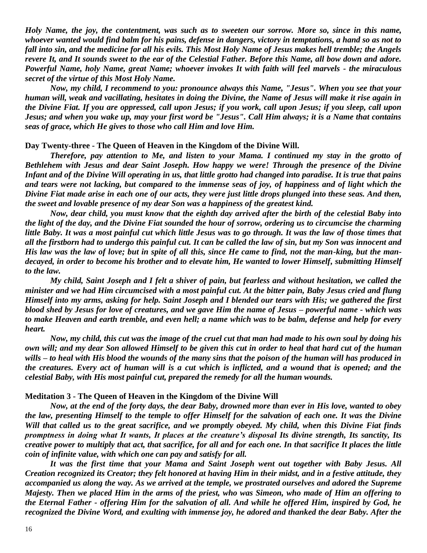*Holy Name, the joy, the contentment, was such as to sweeten our sorrow. More so, since in this name, whoever wanted would find balm for his pains, defense in dangers, victory in temptations, a hand so as not to fall into sin, and the medicine for all his evils. This Most Holy Name of Jesus makes hell tremble; the Angels revere It, and It sounds sweet to the ear of the Celestial Father. Before this Name, all bow down and adore. Powerful Name, holy Name, great Name; whoever invokes It with faith will feel marvels - the miraculous secret of the virtue of this Most Holy Name.*

*Now, my child, I recommend to you: pronounce always this Name, "Jesus". When you see that your human will, weak and vacillating, hesitates in doing the Divine, the Name of Jesus will make it rise again in the Divine Fiat. If you are oppressed, call upon Jesus; if you work, call upon Jesus; if you sleep, call upon Jesus; and when you wake up, may your first word be "Jesus". Call Him always; it is a Name that contains seas of grace, which He gives to those who call Him and love Him.*

#### **Day Twenty-three - The Queen of Heaven in the Kingdom of the Divine Will.**

*Therefore, pay attention to Me, and listen to your Mama. I continued my stay in the grotto of Bethlehem with Jesus and dear Saint Joseph. How happy we were! Through the presence of the Divine Infant and of the Divine Will operating in us, that little grotto had changed into paradise. It is true that pains and tears were not lacking, but compared to the immense seas of joy, of happiness and of light which the Divine Fiat made arise in each one of our acts, they were just little drops plunged into these seas. And then, the sweet and lovable presence of my dear Son was a happiness of the greatest kind.*

*Now, dear child, you must know that the eighth day arrived after the birth of the celestial Baby into the light of the day, and the Divine Fiat sounded the hour of sorrow, ordering us to circumcise the charming little Baby. It was a most painful cut which little Jesus was to go through. It was the law of those times that all the firstborn had to undergo this painful cut. It can be called the law of sin, but my Son was innocent and His law was the law of love; but in spite of all this, since He came to find, not the man-king, but the mandecayed, in order to become his brother and to elevate him, He wanted to lower Himself, submitting Himself to the law.*

*My child, Saint Joseph and I felt a shiver of pain, but fearless and without hesitation, we called the minister and we had Him circumcised with a most painful cut. At the bitter pain, Baby Jesus cried and flung Himself into my arms, asking for help. Saint Joseph and I blended our tears with His; we gathered the first blood shed by Jesus for love of creatures, and we gave Him the name of Jesus – powerful name - which was to make Heaven and earth tremble, and even hell; a name which was to be balm, defense and help for every heart.*

*Now, my child, this cut was the image of the cruel cut that man had made to his own soul by doing his own will; and my dear Son allowed Himself to be given this cut in order to heal that hard cut of the human wills – to heal with His blood the wounds of the many sins that the poison of the human will has produced in the creatures. Every act of human will is a cut which is inflicted, and a wound that is opened; and the celestial Baby, with His most painful cut, prepared the remedy for all the human wounds.*

#### **Meditation 3 - The Queen of Heaven in the Kingdom of the Divine Will**

*Now, at the end of the forty days, the dear Baby, drowned more than ever in His love, wanted to obey the law, presenting Himself to the temple to offer Himself for the salvation of each one. It was the Divine Will that called us to the great sacrifice, and we promptly obeyed. My child, when this Divine Fiat finds promptness in doing what It wants, It places at the creature's disposal Its divine strength, Its sanctity, Its creative power to multiply that act, that sacrifice, for all and for each one. In that sacrifice It places the little coin of infinite value, with which one can pay and satisfy for all.*

*It was the first time that your Mama and Saint Joseph went out together with Baby Jesus. All Creation recognized its Creator; they felt honored at having Him in their midst, and in a festive attitude, they accompanied us along the way. As we arrived at the temple, we prostrated ourselves and adored the Supreme Majesty. Then we placed Him in the arms of the priest, who was Simeon, who made of Him an offering to the Eternal Father - offering Him for the salvation of all. And while he offered Him, inspired by God, he recognized the Divine Word, and exulting with immense joy, he adored and thanked the dear Baby. After the*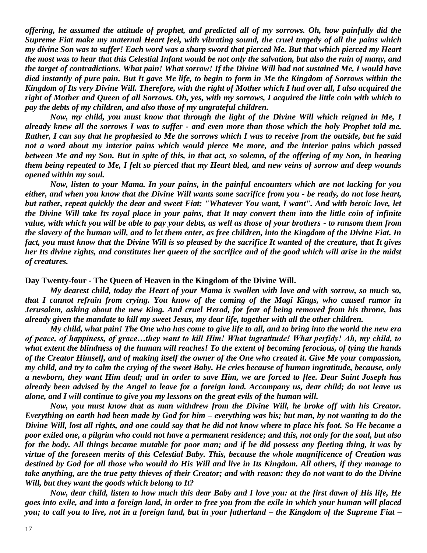*offering, he assumed the attitude of prophet, and predicted all of my sorrows. Oh, how painfully did the Supreme Fiat make my maternal Heart feel, with vibrating sound, the cruel tragedy of all the pains which my divine Son was to suffer! Each word was a sharp sword that pierced Me. But that which pierced my Heart the most was to hear that this Celestial Infant would be not only the salvation, but also the ruin of many, and the target of contradictions. What pain! What sorrow! If the Divine Will had not sustained Me, I would have died instantly of pure pain. But It gave Me life, to begin to form in Me the Kingdom of Sorrows within the Kingdom of Its very Divine Will. Therefore, with the right of Mother which I had over all, I also acquired the right of Mother and Queen of all Sorrows. Oh, yes, with my sorrows, I acquired the little coin with which to pay the debts of my children, and also those of my ungrateful children.*

*Now, my child, you must know that through the light of the Divine Will which reigned in Me, I already knew all the sorrows I was to suffer - and even more than those which the holy Prophet told me. Rather, I can say that he prophesied to Me the sorrows which I was to receive from the outside, but he said not a word about my interior pains which would pierce Me more, and the interior pains which passed between Me and my Son. But in spite of this, in that act, so solemn, of the offering of my Son, in hearing them being repeated to Me, I felt so pierced that my Heart bled, and new veins of sorrow and deep wounds opened within my soul.*

*Now, listen to your Mama. In your pains, in the painful encounters which are not lacking for you either, and when you know that the Divine Will wants some sacrifice from you - be ready, do not lose heart, but rather, repeat quickly the dear and sweet Fiat: "Whatever You want, I want". And with heroic love, let the Divine Will take Its royal place in your pains, that It may convert them into the little coin of infinite value, with which you will be able to pay your debts, as well as those of your brothers - to ransom them from the slavery of the human will, and to let them enter, as free children, into the Kingdom of the Divine Fiat. In fact, you must know that the Divine Will is so pleased by the sacrifice It wanted of the creature, that It gives her Its divine rights, and constitutes her queen of the sacrifice and of the good which will arise in the midst of creatures.*

### **Day Twenty-four - The Queen of Heaven in the Kingdom of the Divine Will.**

*My dearest child, today the Heart of your Mama is swollen with love and with sorrow, so much so, that I cannot refrain from crying. You know of the coming of the Magi Kings, who caused rumor in Jerusalem, asking about the new King. And cruel Herod, for fear of being removed from his throne, has already given the mandate to kill my sweet Jesus, my dear life, together with all the other children.*

*My child, what pain! The One who has come to give life to all, and to bring into the world the new era of peace, of happiness, of grace…they want to kill Him! What ingratitude! What perfidy! Ah, my child, to what extent the blindness of the human will reaches! To the extent of becoming ferocious, of tying the hands of the Creator Himself, and of making itself the owner of the One who created it. Give Me your compassion, my child, and try to calm the crying of the sweet Baby. He cries because of human ingratitude, because, only a newborn, they want Him dead; and in order to save Him, we are forced to flee. Dear Saint Joseph has already been advised by the Angel to leave for a foreign land. Accompany us, dear child; do not leave us alone, and I will continue to give you my lessons on the great evils of the human will.*

*Now, you must know that as man withdrew from the Divine Will, he broke off with his Creator. Everything on earth had been made by God for him – everything was his; but man, by not wanting to do the Divine Will, lost all rights, and one could say that he did not know where to place his foot. So He became a poor exiled one, a pilgrim who could not have a permanent residence; and this, not only for the soul, but also for the body. All things became mutable for poor man; and if he did possess any fleeting thing, it was by virtue of the foreseen merits of this Celestial Baby. This, because the whole magnificence of Creation was destined by God for all those who would do His Will and live in Its Kingdom. All others, if they manage to take anything, are the true petty thieves of their Creator; and with reason: they do not want to do the Divine Will, but they want the goods which belong to It?*

*Now, dear child, listen to how much this dear Baby and I love you: at the first dawn of His life, He goes into exile, and into a foreign land, in order to free you from the exile in which your human will placed you; to call you to live, not in a foreign land, but in your fatherland – the Kingdom of the Supreme Fiat –*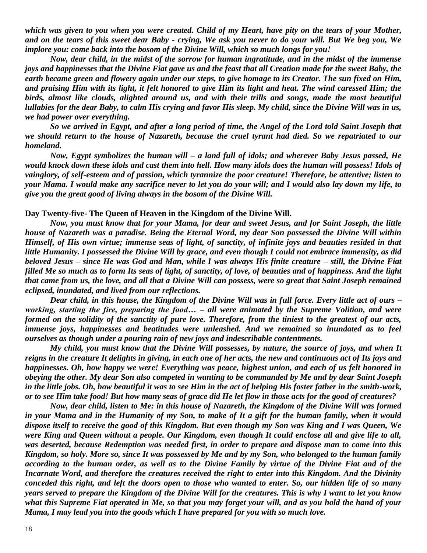*which was given to you when you were created. Child of my Heart, have pity on the tears of your Mother, and on the tears of this sweet dear Baby - crying, We ask you never to do your will. But We beg you, We implore you: come back into the bosom of the Divine Will, which so much longs for you!*

*Now, dear child, in the midst of the sorrow for human ingratitude, and in the midst of the immense joys and happinesses that the Divine Fiat gave us and the feast that all Creation made for the sweet Baby, the earth became green and flowery again under our steps, to give homage to its Creator. The sun fixed on Him, and praising Him with its light, it felt honored to give Him its light and heat. The wind caressed Him; the birds, almost like clouds, alighted around us, and with their trills and songs, made the most beautiful lullabies for the dear Baby, to calm His crying and favor His sleep. My child, since the Divine Will was in us, we had power over everything.*

*So we arrived in Egypt, and after a long period of time, the Angel of the Lord told Saint Joseph that we should return to the house of Nazareth, because the cruel tyrant had died. So we repatriated to our homeland.*

*Now, Egypt symbolizes the human will – a land full of idols; and wherever Baby Jesus passed, He would knock down these idols and cast them into hell. How many idols does the human will possess! Idols of vainglory, of self-esteem and of passion, which tyrannize the poor creature! Therefore, be attentive; listen to your Mama. I would make any sacrifice never to let you do your will; and I would also lay down my life, to give you the great good of living always in the bosom of the Divine Will.*

#### **Day Twenty-five- The Queen of Heaven in the Kingdom of the Divine Will.**

*Now, you must know that for your Mama, for dear and sweet Jesus, and for Saint Joseph, the little house of Nazareth was a paradise. Being the Eternal Word, my dear Son possessed the Divine Will within Himself, of His own virtue; immense seas of light, of sanctity, of infinite joys and beauties resided in that little Humanity. I possessed the Divine Will by grace, and even though I could not embrace immensity, as did beloved Jesus – since He was God and Man, while I was always His finite creature – still, the Divine Fiat filled Me so much as to form Its seas of light, of sanctity, of love, of beauties and of happiness. And the light that came from us, the love, and all that a Divine Will can possess, were so great that Saint Joseph remained eclipsed, inundated, and lived from our reflections.*

*Dear child, in this house, the Kingdom of the Divine Will was in full force. Every little act of ours – working, starting the fire, preparing the food… – all were animated by the Supreme Volition, and were formed on the solidity of the sanctity of pure love. Therefore, from the tiniest to the greatest of our acts, immense joys, happinesses and beatitudes were unleashed. And we remained so inundated as to feel ourselves as though under a pouring rain of new joys and indescribable contentments.*

*My child, you must know that the Divine Will possesses, by nature, the source of joys, and when It reigns in the creature It delights in giving, in each one of her acts, the new and continuous act of Its joys and happinesses. Oh, how happy we were! Everything was peace, highest union, and each of us felt honored in obeying the other. My dear Son also competed in wanting to be commanded by Me and by dear Saint Joseph in the little jobs. Oh, how beautiful it was to see Him in the act of helping His foster father in the smith-work, or to see Him take food! But how many seas of grace did He let flow in those acts for the good of creatures?*

*Now, dear child, listen to Me: in this house of Nazareth, the Kingdom of the Divine Will was formed in your Mama and in the Humanity of my Son, to make of It a gift for the human family, when it would dispose itself to receive the good of this Kingdom. But even though my Son was King and I was Queen, We were King and Queen without a people. Our Kingdom, even though It could enclose all and give life to all, was deserted, because Redemption was needed first, in order to prepare and dispose man to come into this Kingdom, so holy. More so, since It was possessed by Me and by my Son, who belonged to the human family according to the human order, as well as to the Divine Family by virtue of the Divine Fiat and of the Incarnate Word, and therefore the creatures received the right to enter into this Kingdom. And the Divinity conceded this right, and left the doors open to those who wanted to enter. So, our hidden life of so many years served to prepare the Kingdom of the Divine Will for the creatures. This is why I want to let you know what this Supreme Fiat operated in Me, so that you may forget your will, and as you hold the hand of your Mama, I may lead you into the goods which I have prepared for you with so much love.*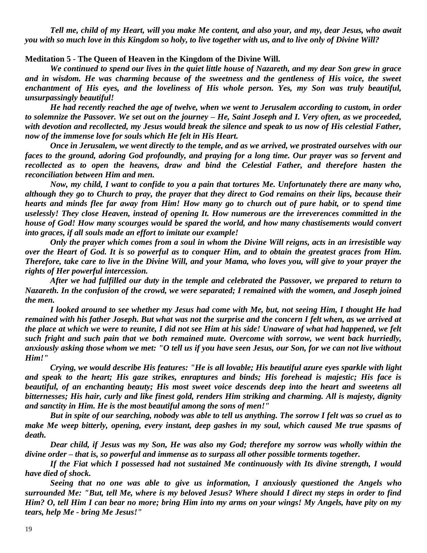*Tell me, child of my Heart, will you make Me content, and also your, and my, dear Jesus, who await you with so much love in this Kingdom so holy, to live together with us, and to live only of Divine Will?*

**Meditation 5 - The Queen of Heaven in the Kingdom of the Divine Will.**

*We continued to spend our lives in the quiet little house of Nazareth, and my dear Son grew in grace and in wisdom. He was charming because of the sweetness and the gentleness of His voice, the sweet enchantment of His eyes, and the loveliness of His whole person. Yes, my Son was truly beautiful, unsurpassingly beautiful!*

*He had recently reached the age of twelve, when we went to Jerusalem according to custom, in order to solemnize the Passover. We set out on the journey – He, Saint Joseph and I. Very often, as we proceeded, with devotion and recollected, my Jesus would break the silence and speak to us now of His celestial Father, now of the immense love for souls which He felt in His Heart.*

*Once in Jerusalem, we went directly to the temple, and as we arrived, we prostrated ourselves with our faces to the ground, adoring God profoundly, and praying for a long time. Our prayer was so fervent and recollected as to open the heavens, draw and bind the Celestial Father, and therefore hasten the reconciliation between Him and men.*

*Now, my child, I want to confide to you a pain that tortures Me. Unfortunately there are many who, although they go to Church to pray, the prayer that they direct to God remains on their lips, because their hearts and minds flee far away from Him! How many go to church out of pure habit, or to spend time uselessly! They close Heaven, instead of opening It. How numerous are the irreverences committed in the house of God! How many scourges would be spared the world, and how many chastisements would convert into graces, if all souls made an effort to imitate our example!*

*Only the prayer which comes from a soul in whom the Divine Will reigns, acts in an irresistible way over the Heart of God. It is so powerful as to conquer Him, and to obtain the greatest graces from Him. Therefore, take care to live in the Divine Will, and your Mama, who loves you, will give to your prayer the rights of Her powerful intercession.*

*After we had fulfilled our duty in the temple and celebrated the Passover, we prepared to return to Nazareth. In the confusion of the crowd, we were separated; I remained with the women, and Joseph joined the men.*

*I looked around to see whether my Jesus had come with Me, but, not seeing Him, I thought He had remained with his father Joseph. But what was not the surprise and the concern I felt when, as we arrived at the place at which we were to reunite, I did not see Him at his side! Unaware of what had happened, we felt such fright and such pain that we both remained mute. Overcome with sorrow, we went back hurriedly, anxiously asking those whom we met: "O tell us if you have seen Jesus, our Son, for we can not live without Him!"*

*Crying, we would describe His features: "He is all lovable; His beautiful azure eyes sparkle with light and speak to the heart; His gaze strikes, enraptures and binds; His forehead is majestic; His face is beautiful, of an enchanting beauty; His most sweet voice descends deep into the heart and sweetens all bitternesses; His hair, curly and like finest gold, renders Him striking and charming. All is majesty, dignity and sanctity in Him. He is the most beautiful among the sons of men!"*

*But in spite of our searching, nobody was able to tell us anything. The sorrow I felt was so cruel as to make Me weep bitterly, opening, every instant, deep gashes in my soul, which caused Me true spasms of death.*

*Dear child, if Jesus was my Son, He was also my God; therefore my sorrow was wholly within the divine order – that is, so powerful and immense as to surpass all other possible torments together.*

*If the Fiat which I possessed had not sustained Me continuously with Its divine strength, I would have died of shock.*

*Seeing that no one was able to give us information, I anxiously questioned the Angels who surrounded Me: "But, tell Me, where is my beloved Jesus? Where should I direct my steps in order to find Him? O, tell Him I can bear no more; bring Him into my arms on your wings! My Angels, have pity on my tears, help Me - bring Me Jesus!"*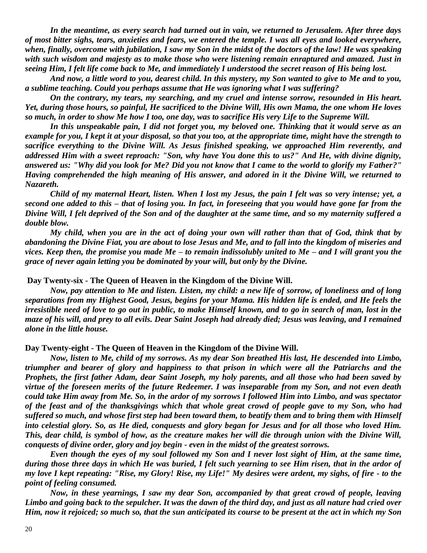*In the meantime, as every search had turned out in vain, we returned to Jerusalem. After three days of most bitter sighs, tears, anxieties and fears, we entered the temple. I was all eyes and looked everywhere, when, finally, overcome with jubilation, I saw my Son in the midst of the doctors of the law! He was speaking with such wisdom and majesty as to make those who were listening remain enraptured and amazed. Just in seeing Him, I felt life come back to Me, and immediately I understood the secret reason of His being lost.*

*And now, a little word to you, dearest child. In this mystery, my Son wanted to give to Me and to you, a sublime teaching. Could you perhaps assume that He was ignoring what I was suffering?*

*On the contrary, my tears, my searching, and my cruel and intense sorrow, resounded in His heart. Yet, during those hours, so painful, He sacrificed to the Divine Will, His own Mama, the one whom He loves so much, in order to show Me how I too, one day, was to sacrifice His very Life to the Supreme Will.*

*In this unspeakable pain, I did not forget you, my beloved one. Thinking that it would serve as an example for you, I kept it at your disposal, so that you too, at the appropriate time, might have the strength to sacrifice everything to the Divine Will. As Jesus finished speaking, we approached Him reverently, and addressed Him with a sweet reproach: "Son, why have You done this to us?" And He, with divine dignity, answered us: "Why did you look for Me? Did you not know that I came to the world to glorify my Father?" Having comprehended the high meaning of His answer, and adored in it the Divine Will, we returned to Nazareth.*

*Child of my maternal Heart, listen. When I lost my Jesus, the pain I felt was so very intense; yet, a second one added to this – that of losing you. In fact, in foreseeing that you would have gone far from the Divine Will, I felt deprived of the Son and of the daughter at the same time, and so my maternity suffered a double blow.*

*My child, when you are in the act of doing your own will rather than that of God, think that by abandoning the Divine Fiat, you are about to lose Jesus and Me, and to fall into the kingdom of miseries and vices. Keep then, the promise you made Me – to remain indissolubly united to Me – and I will grant you the grace of never again letting you be dominated by your will, but only by the Divine.*

### **Day Twenty-six - The Queen of Heaven in the Kingdom of the Divine Will.**

*Now, pay attention to Me and listen. Listen, my child: a new life of sorrow, of loneliness and of long separations from my Highest Good, Jesus, begins for your Mama. His hidden life is ended, and He feels the irresistible need of love to go out in public, to make Himself known, and to go in search of man, lost in the maze of his will, and prey to all evils. Dear Saint Joseph had already died; Jesus was leaving, and I remained alone in the little house.*

#### **Day Twenty-eight - The Queen of Heaven in the Kingdom of the Divine Will.**

*Now, listen to Me, child of my sorrows. As my dear Son breathed His last, He descended into Limbo, triumpher and bearer of glory and happiness to that prison in which were all the Patriarchs and the Prophets, the first father Adam, dear Saint Joseph, my holy parents, and all those who had been saved by virtue of the foreseen merits of the future Redeemer. I was inseparable from my Son, and not even death could take Him away from Me. So, in the ardor of my sorrows I followed Him into Limbo, and was spectator of the feast and of the thanksgivings which that whole great crowd of people gave to my Son, who had suffered so much, and whose first step had been toward them, to beatify them and to bring them with Himself into celestial glory. So, as He died, conquests and glory began for Jesus and for all those who loved Him. This, dear child, is symbol of how, as the creature makes her will die through union with the Divine Will, conquests of divine order, glory and joy begin - even in the midst of the greatest sorrows.*

*Even though the eyes of my soul followed my Son and I never lost sight of Him, at the same time, during those three days in which He was buried, I felt such yearning to see Him risen, that in the ardor of my love I kept repeating: "Rise, my Glory! Rise, my Life!" My desires were ardent, my sighs, of fire - to the point of feeling consumed.*

*Now, in these yearnings, I saw my dear Son, accompanied by that great crowd of people, leaving Limbo and going back to the sepulcher. It was the dawn of the third day, and just as all nature had cried over Him, now it rejoiced; so much so, that the sun anticipated its course to be present at the act in which my Son*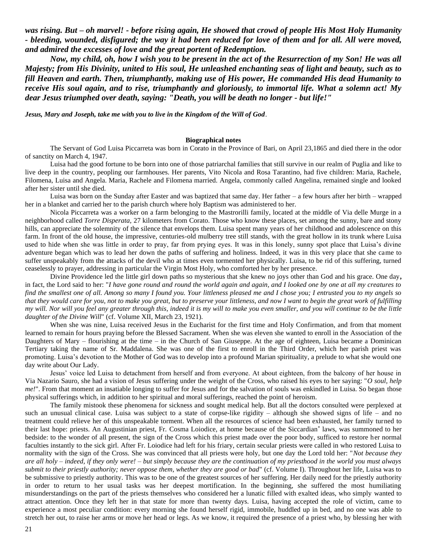*was rising. But – oh marvel! - before rising again, He showed that crowd of people His Most Holy Humanity - bleeding, wounded, disfigured; the way it had been reduced for love of them and for all. All were moved, and admired the excesses of love and the great portent of Redemption.*

*Now, my child, oh, how I wish you to be present in the act of the Resurrection of my Son! He was all Majesty; from His Divinity, united to His soul, He unleashed enchanting seas of light and beauty, such as to fill Heaven and earth. Then, triumphantly, making use of His power, He commanded His dead Humanity to receive His soul again, and to rise, triumphantly and gloriously, to immortal life. What a solemn act! My dear Jesus triumphed over death, saying: "Death, you will be death no longer - but life!"*

*Jesus, Mary and Joseph, take me with you to live in the Kingdom of the Will of God*.

#### **Biographical notes**

The Servant of God Luisa Piccarreta was born in Corato in the Province of Bari, on April 23,1865 and died there in the odor of sanctity on March 4, 1947.

Luisa had the good fortune to be born into one of those patriarchal families that still survive in our realm of Puglia and like to live deep in the country, peopling our farmhouses. Her parents, Vito Nicola and Rosa Tarantino, had five children: Maria, Rachele, Filomena, Luisa and Angela. Maria, Rachele and Filomena married. Angela, commonly called Angelina, remained single and looked after her sister until she died.

Luisa was born on the Sunday after Easter and was baptized that same day. Her father – a few hours after her birth – wrapped her in a blanket and carried her to the parish church where holy Baptism was administered to her.

Nicola Piccarreta was a worker on a farm belonging to the Mastrorilli family, located at the middle of Via delle Murge in a neighborhood called *Torre Disperata,* 27 kilometers from Corato. Those who know these places, set among the sunny, bare and stony hills, can appreciate the solemnity of the silence that envelops them. Luisa spent many years of her childhood and adolescence on this farm. In front of the old house, the impressive, centuries-old mulberry tree still stands, with the great hollow in its trunk where Luisa used to hide when she was little in order to pray, far from prying eyes. It was in this lonely, sunny spot place that Luisa's divine adventure began which was to lead her down the paths of suffering and holiness. Indeed, it was in this very place that she came to suffer unspeakably from the attacks of the devil who at times even tormented her physically. Luisa, to be rid of this suffering, turned ceaselessly to prayer, addressing in particular the Virgin Most Holy, who comforted her by her presence.

Divine Providence led the little girl down paths so mysterious that she knew no joys other than God and his grace. One day**,** in fact, the Lord said to her: "*I have gone round and round the world again and again, and I looked one by one at all my creatures to find the smallest one of all. Among so many I found you. Your littleness pleased me and I chose you; I entrusted you to my angels so that they would care for you, not to make you great, but to preserve your littleness, and now I want to begin the great work of fulfilling my will. Nor will you feel any greater through this, indeed it is my will to make you even smaller, and you will continue to be the little daughter of the Divine Will*" (cf. Volume XII, March 23, 1921).

When she was nine, Luisa received Jesus in the Eucharist for the first time and Holy Confirmation, and from that moment learned to remain for hours praying before the Blessed Sacrament. When she was eleven she wanted to enroll in the Association of the Daughters of Mary – flourishing at the time – in the Church of San Giuseppe. At the age of eighteen, Luisa became a Dominican Tertiary taking the name of Sr. Maddalena. She was one of the first to enroll in the Third Order, which her parish priest was promoting. Luisa's devotion to the Mother of God was to develop into a profound Marian spirituality, a prelude to what she would one day write about Our Lady.

Jesus' voice led Luisa to detachment from herself and from everyone. At about eighteen, from the balcony of her house in Via Nazario Sauro, she had a vision of Jesus suffering under the weight of the Cross, who raised his eyes to her saying: "*O soul, help me!*". From that moment an insatiable longing to suffer for Jesus and for the salvation of souls was enkindled in Luisa. So began those physical sufferings which, in addition to her spiritual and moral sufferings, reached the point of heroism.

The family mistook these phenomena for sickness and sought medical help. But all the doctors consulted were perplexed at such an unusual clinical case. Luisa was subject to a state of corpse-like rigidity – although she showed signs of life – and no treatment could relieve her of this unspeakable torment. When all the resources of science had been exhausted, her family turned to their last hope: priests. An Augustinian priest, Fr. Cosma Loiodice, at home because of the Siccardian\* laws, was summoned to her bedside: to the wonder of all present, the sign of the Cross which this priest made over the poor body, sufficed to restore her normal faculties instantly to the sick girl. After Fr. Loiodice had left for his friary, certain secular priests were called in who restored Luisa to normality with the sign of the Cross. She was convinced that all priests were holy, but one day the Lord told her: "*Not because they are all holy – indeed, if they only were! – but simply because they are the continuation of my priesthood in the world you must always submit to their priestly authority; never oppose them, whether they are good or bad*" (cf. Volume I). Throughout her life, Luisa was to be submissive to priestly authority. This was to be one of the greatest sources of her suffering. Her daily need for the priestly authority in order to return to her usual tasks was her deepest mortification. In the beginning, she suffered the most humiliating misunderstandings on the part of the priests themselves who considered her a lunatic filled with exalted ideas, who simply wanted to attract attention. Once they left her in that state for more than twenty days. Luisa, having accepted the role of victim, came to experience a most peculiar condition: every morning she found herself rigid, immobile, huddled up in bed, and no one was able to stretch her out, to raise her arms or move her head or legs. As we know, it required the presence of a priest who, by blessing her with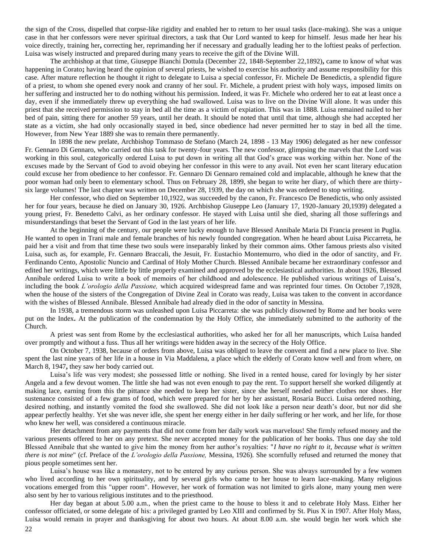the sign of the Cross, dispelled that corpse-like rigidity and enabled her to return to her usual tasks (lace-making). She was a unique case in that her confessors were never spiritual directors, a task that Our Lord wanted to keep for himself. Jesus made her hear his voice directly, training her**,** correcting her, reprimanding her if necessary and gradually leading her to the loftiest peaks of perfection. Luisa was wisely instructed and prepared during many years to receive the gift of the Divine Will.

The archbishop at that time, Giuseppe Bianchi Dottula (December 22, 1848-September 22,1892)**,** came to know of what was happening in Corato**;** having heard the opinion of several priests, he wished to exercise his authority and assume responsibility for this case. After mature reflection he thought it right to delegate to Luisa a special confessor, Fr. Michele De Benedictis, a splendid figure of a priest, to whom she opened every nook and cranny of her soul. Fr. Michele, a prudent priest with holy ways, imposed limits on her suffering and instructed her to do nothing without his permission. Indeed, it was Fr. Michele who ordered her to eat at least once a day, even if she immediately threw up everything she had swallowed. Luisa was to live on the Divine Will alone. It was under this priest that she received permission to stay in bed all the time as a victim of expiation. This was in 1888. Luisa remained nailed to her bed of pain, sitting there for another 59 years, until her death. It should be noted that until that time, although she had accepted her state as a victim, she had only occasionally stayed in bed, since obedience had never permitted her to stay in bed all the time. However, from New Year 1889 she was to remain there permanently.

In 1898 the new prelate, Archbishop Tommaso de Stefano (March 24, 1898 - 13 May 1906) delegated as her new confessor Fr. Gennaro Di Gennaro, who carried out this task for twenty-four years. The new confessor, glimpsing the marvels that the Lord was working in this soul, categorically ordered Luisa to put down in writing all that God's grace was working within her. None of the excuses made by the Servant of God to avoid obeying her confessor in this were to any avail. Not even her scant literary education could excuse her from obedience to her confessor. Fr. Gennaro Di Gennaro remained cold and implacable, although he knew that the poor woman had only been to elementary school. Thus on February 28, 1899, she began to write her diary, of which there are thirtysix large volumes! The last chapter was written on December 28, 1939, the day on which she was ordered to stop writing.

Her confessor, who died on September 10,1922, was succeeded by the canon, Fr. Francesco De Benedictis, who only assisted her for four years, because he died on January 30, 1926. Archbishop Giuseppe Leo (January 17, 1920-January 20,1939) delegated a young priest, Fr. Benedetto Calvi, as her ordinary confessor. He stayed with Luisa until she died, sharing all those sufferings and misunderstandings that beset the Servant of God in the last years of her life.

At the beginning of the century, our people were lucky enough to have Blessed Annibale Maria Di Francia present in Puglia. He wanted to open in Trani male and female branches of his newly founded congregation. When he heard about Luisa Piccarreta, he paid her a visit and from that time these two souls were inseparably linked by their common aims. Other famous priests also visited Luisa, such as, for example, Fr. Gennaro Braccali, the Jesuit, Fr. Eustachio Montemurro, who died in the odor of sanctity, and Fr. Ferdinando Cento, Apostolic Nuncio and Cardinal of Holy Mother Church. Blessed Annibale became her extraordinary confessor and edited her writings, which were little by little properly examined and approved by the ecclesiastical authorities. In about 1926, Blessed Annibale ordered Luisa to write a book of memoirs of her childhood and adolescence. He published various writings of Luisa's, including the book *L'orologio della Passione,* which acquired widespread fame and was reprinted four times. On October 7,1928, when the house of the sisters of the Congregation of Divine Zeal in Corato was ready, Luisa was taken to the convent in accordance with the wishes of Blessed Annibale. Blessed Annibale had already died in the odor of sanctity in Messina.

In 1938, a tremendous storm was unleashed upon Luisa Piccarreta: she was publicly disowned by Rome and her books were put on the Index**.** At the publication of the condemnation by the Holy Office, she immediately submitted to the authority of the Church.

A priest was sent from Rome by the ecclesiastical authorities, who asked her for all her manuscripts, which Luisa handed over promptly and without a fuss. Thus all her writings were hidden away in the secrecy of the Holy Office.

On October 7, 1938, because of orders from above, Luisa was obliged to leave the convent and find a new place to live. She spent the last nine years of her life in a house in Via Maddalena, a place which the elderly of Corato know well and from where, on March 8, 1947**,** they saw her body carried out.

Luisa's life was very modest; she possessed little or nothing. She lived in a rented house, cared for lovingly by her sister Angela and a few devout women. The little she had was not even enough to pay the rent. To support herself she worked diligently at making lace, earning from this the pittance she needed to keep her sister, since she herself needed neither clothes nor shoes. Her sustenance consisted of a few grams of food, which were prepared for her by her assistant, Rosaria Bucci. Luisa ordered nothing, desired nothing, and instantly vomited the food she swallowed. She did not look like a person near death's door, but nor did she appear perfectly healthy. Yet she was never idle, she spent her energy either in her daily suffering or her work, and her life, for those who knew her well, was considered a continuous miracle.

Her detachment from any payments that did not come from her daily work was marvelous! She firmly refused money and the various presents offered to her on any pretext. She never accepted money for the publication of her books. Thus one day she told Blessed Annibale that she wanted to give him the money from her author's royalties: "*I have no right to it, because what is written there is not mine*" (cf. Preface of the *L'orologio della Passione,* Messina, 1926). She scornfully refused and returned the money that pious people sometimes sent her.

Luisa's house was like a monastery, not to be entered by any curious person. She was always surrounded by a few women who lived according to her own spirituality, and by several girls who came to her house to learn lace-making. Many religious vocations emerged from this "upper room". However, her work of formation was not limited to girls alone, many young men were also sent by her to various religious institutes and to the priesthood.

Her day began at about 5.00 a.m., when the priest came to the house to bless it and to celebrate Holy Mass. Either her confessor officiated, or some delegate of his: a privileged granted by Leo XIII and confirmed by St. Pius X in 1907. After Holy Mass, Luisa would remain in prayer and thanksgiving for about two hours. At about 8.00 a.m. she would begin her work which she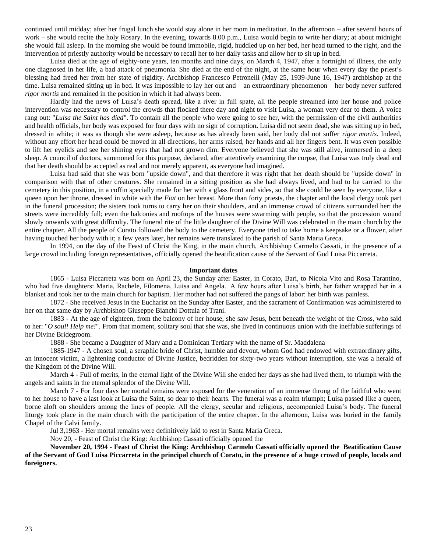continued until midday; after her frugal lunch she would stay alone in her room in meditation. In the afternoon – after several hours of work – she would recite the holy Rosary. In the evening, towards 8.00 p.m., Luisa would begin to write her diary; at about midnight she would fall asleep. In the morning she would be found immobile, rigid, huddled up on her bed, her head turned to the right, and the intervention of priestly authority would be necessary to recall her to her daily tasks and allow her to sit up in bed.

Luisa died at the age of eighty-one years, ten months and nine days, on March 4, 1947, after a fortnight of illness, the only one diagnosed in her life, a bad attack of pneumonia. She died at the end of the night, at the same hour when every day the priest's blessing had freed her from her state of rigidity. Archbishop Francesco Petronelli (May 25, 1939-June 16, 1947) archbishop at the time. Luisa remained sitting up in bed. It was impossible to lay her out and – an extraordinary phenomenon – her body never suffered *rigor mortis* and remained in the position in which it had always been.

Hardly had the news of Luisa's death spread, like a river in full spate, all the people streamed into her house and police intervention was necessary to control the crowds that flocked there day and night to visit Luisa, a woman very dear to them. A voice rang out: "*Luisa the Saint has died*". To contain all the people who were going to see her, with the permission of the civil authorities and health officials, her body was exposed for four days with no sign of corruption**.** Luisa did not seem dead, she was sitting up in bed, dressed in white; it was as though she were asleep, because as has already been said, her body did not suffer *rigor mortis.* Indeed, without any effort her head could be moved in all directions, her arms raised, her hands and all her fingers bent. It was even possible to lift her eyelids and see her shining eyes that had not grown dim. Everyone believed that she was still alive, immersed in a deep sleep. A council of doctors, summoned for this purpose, declared, after attentively examining the corpse, that Luisa was truly dead and that her death should be accepted as real and not merely apparent, as everyone had imagined.

Luisa had said that she was born "upside down", and that therefore it was right that her death should be "upside down" in comparison with that of other creatures. She remained in a sitting position as she had always lived, and had to be carried to the cemetery in this position, in a coffin specially made for her with a glass front and sides, so that she could be seen by everyone, like a queen upon her throne, dressed in white with the *Fiat* on her breast. More than forty priests, the chapter and the local clergy took part in the funeral procession; the sisters took turns to carry her on their shoulders, and an immense crowd of citizens surrounded her: the streets were incredibly full; even the balconies and rooftops of the houses were swarming with people, so that the procession wound slowly onwards with great difficulty. The funeral rite of the little daughter of the Divine Will was celebrated in the main church by the entire chapter. All the people of Corato followed the body to the cemetery. Everyone tried to take home a keepsake or a flower, after having touched her body with it; a few years later, her remains were translated to the parish of Santa Maria Greca.

In 1994, on the day of the Feast of Christ the King, in the main church, Archbishop Carmelo Cassati, in the presence of a large crowd including foreign representatives, officially opened the beatification cause of the Servant of God Luisa Piccarreta.

#### **Important dates**

1865 - Luisa Piccarreta was born on April 23, the Sunday after Easter, in Corato, Bari, to Nicola Vito and Rosa Tarantino, who had five daughters: Maria, Rachele, Filomena, Luisa and Angela. A few hours after Luisa's birth, her father wrapped her in a blanket and took her to the main church for baptism. Her mother had not suffered the pangs of labor: her birth was painless.

1872 - She received Jesus in the Eucharist on the Sunday after Easter, and the sacrament of Confirmation was administered to her on that same day by Archbishop Giuseppe Bianchi Dottula of Trani.

1883 - At the age of eighteen, from the balcony of her house, she saw Jesus, bent beneath the weight of the Cross, who said to her: "*O soul! Help me!*". From that moment, solitary soul that she was, she lived in continuous union with the ineffable sufferings of her Divine Bridegroom.

1888 - She became a Daughter of Mary and a Dominican Tertiary with the name of Sr. Maddalena

1885-1947 - A chosen soul, a seraphic bride of Christ, humble and devout, whom God had endowed with extraordinary gifts, an innocent victim, a lightening conductor of Divine Justice, bedridden for sixty-two years without interruption, she was a herald of the Kingdom of the Divine Will.

March 4 - Full of merits, in the eternal light of the Divine Will she ended her days as she had lived them, to triumph with the angels and saints in the eternal splendor of the Divine Will.

March 7 - For four days her mortal remains were exposed for the veneration of an immense throng of the faithful who went to her house to have a last look at Luisa the Saint, so dear to their hearts. The funeral was a realm triumph; Luisa passed like a queen, borne aloft on shoulders among the lines of people. All the clergy, secular and religious, accompanied Luisa's body. The funeral liturgy took place in the main church with the participation of the entire chapter. In the afternoon, Luisa was buried in the family Chapel of the Calvi family.

Jul 3,1963 - Her mortal remains were definitively laid to rest in Santa Maria Greca.

Nov 20, - Feast of Christ the King: Archbishop Cassati officially opened the

**November 20, 1994 - Feast of Christ the King: Archbishop Carmelo Cassati officially opened the Beatification Cause of the Servant of God Luisa Piccarreta in the principal church of Corato, in the presence of a huge crowd of people, locals and foreigners.**